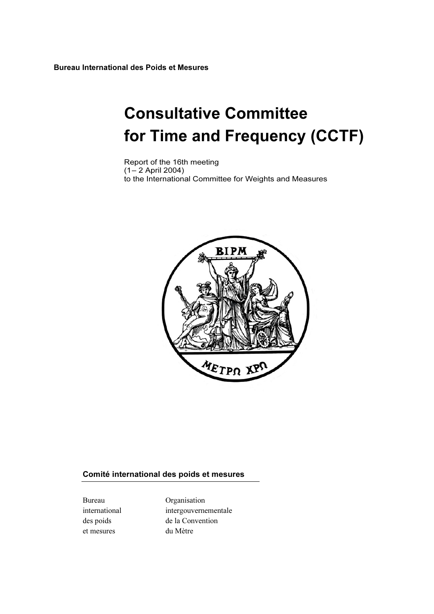Bureau International des Poids et Mesures

# Consultative Committee for Time and Frequency (CCTF)

Report of the 16th meeting (1– 2 April 2004) to the International Committee for Weights and Measures



### Comité international des poids et mesures

et mesures du Mètre

Bureau Organisation international intergouvernementale des poids de la Convention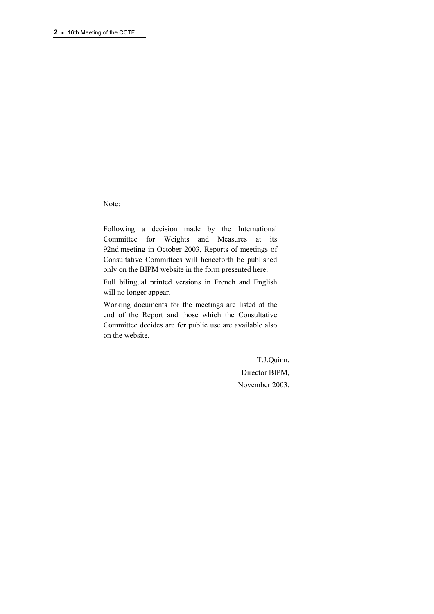### Note:

Following a decision made by the International Committee for Weights and Measures at its 92nd meeting in October 2003, Reports of meetings of Consultative Committees will henceforth be published only on the BIPM website in the form presented here.

Full bilingual printed versions in French and English will no longer appear.

Working documents for the meetings are listed at the end of the Report and those which the Consultative Committee decides are for public use are available also on the website.

> T.J.Quinn, Director BIPM, November 2003.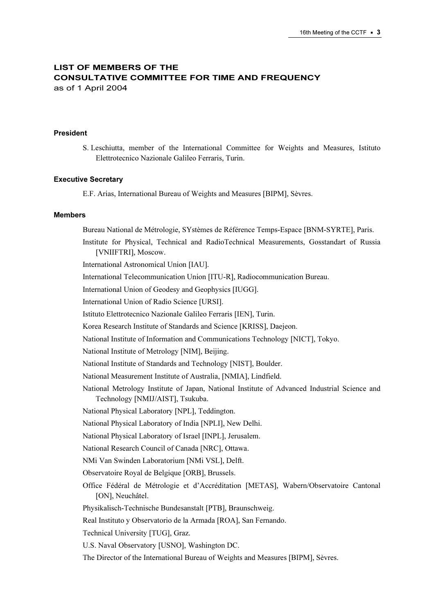# LIST OF MEMBERS OF THE CONSULTATIVE COMMITTEE FOR TIME AND FREQUENCY as of 1 April 2004

### President

S. Leschiutta, member of the International Committee for Weights and Measures, Istituto Elettrotecnico Nazionale Galileo Ferraris, Turin.

#### Executive Secretary

E.F. Arias, International Bureau of Weights and Measures [BIPM], Sèvres.

#### Members

Bureau National de Métrologie, SYstèmes de Référence Temps-Espace [BNM-SYRTE], Paris. Institute for Physical, Technical and RadioTechnical Measurements, Gosstandart of Russia [VNIIFTRI], Moscow. International Astronomical Union [IAU]. International Telecommunication Union [ITU-R], Radiocommunication Bureau. International Union of Geodesy and Geophysics [IUGG]. International Union of Radio Science [URSI]. Istituto Elettrotecnico Nazionale Galileo Ferraris [IEN], Turin. Korea Research Institute of Standards and Science [KRISS], Daejeon. National Institute of Information and Communications Technology [NICT], Tokyo. National Institute of Metrology [NIM], Beijing. National Institute of Standards and Technology [NIST], Boulder. National Measurement Institute of Australia, [NMIA], Lindfield. National Metrology Institute of Japan, National Institute of Advanced Industrial Science and Technology [NMIJ/AIST], Tsukuba. National Physical Laboratory [NPL], Teddington. National Physical Laboratory of India [NPLI], New Delhi. National Physical Laboratory of Israel [INPL], Jerusalem. National Research Council of Canada [NRC], Ottawa. NMi Van Swinden Laboratorium [NMi VSL], Delft. Observatoire Royal de Belgique [ORB], Brussels. Office Fédéral de Métrologie et d'Accréditation [METAS], Wabern/Observatoire Cantonal [ON], Neuchâtel. Physikalisch-Technische Bundesanstalt [PTB], Braunschweig. Real Instituto y Observatorio de la Armada [ROA], San Fernando. Technical University [TUG], Graz. U.S. Naval Observatory [USNO], Washington DC. The Director of the International Bureau of Weights and Measures [BIPM], Sèvres.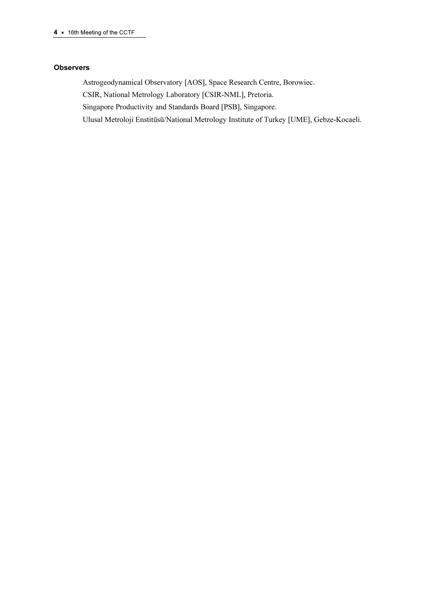### **Observers**

Astrogeodynamical Observatory [AOS], Space Research Centre, Borowiec.

CSIR, National Metrology Laboratory [CSIR-NML], Pretoria.

Singapore Productivity and Standards Board [PSB], Singapore.

Ulusal Metroloji Enstitüsü/National Metrology Institute of Turkey [UME], Gebze-Kocaeli.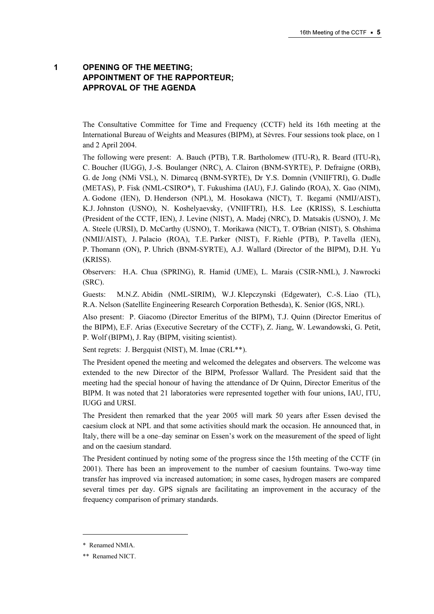# 1 OPENING OF THE MEETING; APPOINTMENT OF THE RAPPORTEUR; APPROVAL OF THE AGENDA

The Consultative Committee for Time and Frequency (CCTF) held its 16th meeting at the International Bureau of Weights and Measures (BIPM), at Sèvres. Four sessions took place, on 1 and 2 April 2004.

The following were present: A. Bauch (PTB), T.R. Bartholomew (ITU-R), R. Beard (ITU-R), C. Boucher (IUGG), J.-S. Boulanger (NRC), A. Clairon (BNM-SYRTE), P. Defraigne (ORB), G. de Jong (NMi VSL), N. Dimarcq (BNM-SYRTE), Dr Y.S. Domnin (VNIIFTRI), G. Dudle (METAS), P. Fisk (NML-CSIRO\*), T. Fukushima (IAU), F.J. Galindo (ROA), X. Gao (NIM), A. Godone (IEN), D. Henderson (NPL), M. Hosokawa (NICT), T. Ikegami (NMIJ/AIST), K.J. Johnston (USNO), N. Koshelyaevsky, (VNIIFTRI), H.S. Lee (KRISS), S. Leschiutta (President of the CCTF, IEN), J. Levine (NIST), A. Madej (NRC), D. Matsakis (USNO), J. Mc A. Steele (URSI), D. McCarthy (USNO), T. Morikawa (NICT), T. O'Brian (NIST), S. Ohshima (NMIJ/AIST), J. Palacio (ROA), T.E. Parker (NIST), F. Riehle (PTB), P. Tavella (IEN), P. Thomann (ON), P. Uhrich (BNM-SYRTE), A.J. Wallard (Director of the BIPM), D.H. Yu (KRISS).

Observers: H.A. Chua (SPRING), R. Hamid (UME), L. Marais (CSIR-NML), J. Nawrocki (SRC).

Guests: M.N.Z. Abidin (NML-SIRIM), W.J. Klepczynski (Edgewater), C.-S. Liao (TL), R.A. Nelson (Satellite Engineering Research Corporation Bethesda), K. Senior (IGS, NRL).

Also present: P. Giacomo (Director Emeritus of the BIPM), T.J. Quinn (Director Emeritus of the BIPM), E.F. Arias (Executive Secretary of the CCTF), Z. Jiang, W. Lewandowski, G. Petit, P. Wolf (BIPM), J. Ray (BIPM, visiting scientist).

Sent regrets: J. Bergquist (NIST), M. Imae (CRL\*\*).

The President opened the meeting and welcomed the delegates and observers. The welcome was extended to the new Director of the BIPM, Professor Wallard. The President said that the meeting had the special honour of having the attendance of Dr Quinn, Director Emeritus of the BIPM. It was noted that 21 laboratories were represented together with four unions, IAU, ITU, IUGG and URSI.

The President then remarked that the year 2005 will mark 50 years after Essen devised the caesium clock at NPL and that some activities should mark the occasion. He announced that, in Italy, there will be a one–day seminar on Essen's work on the measurement of the speed of light and on the caesium standard.

The President continued by noting some of the progress since the 15th meeting of the CCTF (in 2001). There has been an improvement to the number of caesium fountains. Two-way time transfer has improved via increased automation; in some cases, hydrogen masers are compared several times per day. GPS signals are facilitating an improvement in the accuracy of the frequency comparison of primary standards.

 $\overline{a}$ 

<sup>\*</sup> Renamed NMIA.

<sup>\*\*</sup> Renamed NICT.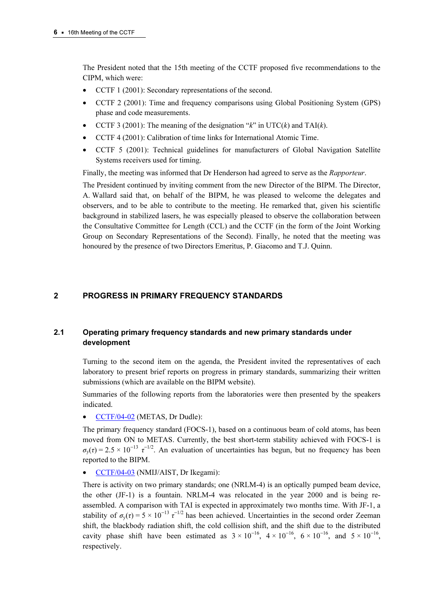The President noted that the 15th meeting of the CCTF proposed five recommendations to the CIPM, which were:

- CCTF 1 (2001): Secondary representations of the second.
- CCTF 2 (2001): Time and frequency comparisons using Global Positioning System (GPS) phase and code measurements.
- CCTF 3 (2001): The meaning of the designation " $k$ " in UTC( $k$ ) and TAI( $k$ ).
- CCTF 4 (2001): Calibration of time links for International Atomic Time.
- CCTF 5 (2001): Technical guidelines for manufacturers of Global Navigation Satellite Systems receivers used for timing.

Finally, the meeting was informed that Dr Henderson had agreed to serve as the Rapporteur.

The President continued by inviting comment from the new Director of the BIPM. The Director, A. Wallard said that, on behalf of the BIPM, he was pleased to welcome the delegates and observers, and to be able to contribute to the meeting. He remarked that, given his scientific background in stabilized lasers, he was especially pleased to observe the collaboration between the Consultative Committee for Length (CCL) and the CCTF (in the form of the Joint Working Group on Secondary Representations of the Second). Finally, he noted that the meeting was honoured by the presence of two Directors Emeritus, P. Giacomo and T.J. Quinn.

# 2 PROGRESS IN PRIMARY FREQUENCY STANDARDS

# 2.1 Operating primary frequency standards and new primary standards under development

Turning to the second item on the agenda, the President invited the representatives of each laboratory to present brief reports on progress in primary standards, summarizing their written submissions (which are available on the BIPM website).

Summaries of the following reports from the laboratories were then presented by the speakers indicated.

• CCTF/04-02 (METAS, Dr Dudle):

[The primary frequency standard](https://www.bipm.org/cc/CCTF/Allowed/16/cctf04-02.pdf) (FOCS-1), based on a continuous beam of cold atoms, has been moved from ON to METAS. Currently, the best short-term stability achieved with FOCS-1 is  $\sigma_y(\tau) = 2.5 \times 10^{-13} \tau^{-1/2}$ . An evaluation of uncertainties has begun, but no frequency has been reported to the BIPM.

• [CCTF/04-03 \(NMIJ/AIST, Dr Ikegami\):](https://www.bipm.org/cc/CCTF/Allowed/16/cctf04-03.pdf) 

There is activity on two primary standards; one (NRLM-4) is an optically pumped beam device, the other (JF-1) is a fountain. NRLM-4 was relocated in the year 2000 and is being reassembled. A comparison with TAI is expected in approximately two months time. With JF-1, a stability of  $\sigma_y(\tau) = 5 \times 10^{-13} \tau^{-1/2}$  has been achieved. Uncertainties in the second order Zeeman shift, the blackbody radiation shift, the cold collision shift, and the shift due to the distributed cavity phase shift have been estimated as  $3 \times 10^{-16}$ ,  $4 \times 10^{-16}$ ,  $6 \times 10^{-16}$ , and  $5 \times 10^{-16}$ , respectively.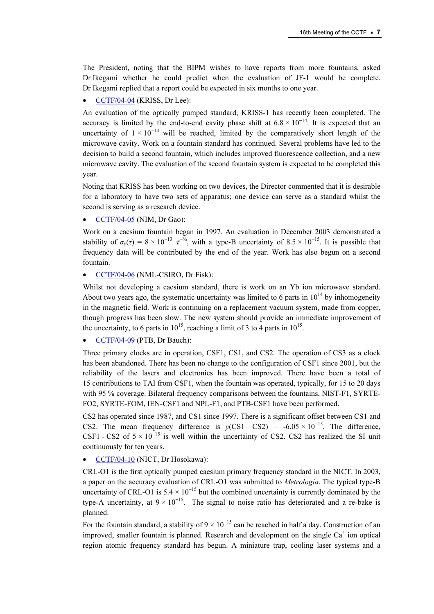The President, noting that the BIPM wishes to have reports from more fountains, asked Dr Ikegami whether he could predict when the evaluation of JF-1 would be complete. [Dr Ikegami replied that a report could b](https://www.bipm.org/cc/CCTF/Allowed/16/cctf04-04.pdf)e expected in six months to one year.

• CCTF/04-04 (KRISS, Dr Lee):

An evaluation of the optically pumped standard, KRISS-1 has recently been completed. The accuracy is limited by the end-to-end cavity phase shift at  $6.8 \times 10^{-14}$ . It is expected that an uncertainty of  $1 \times 10^{-14}$  will be reached, limited by the comparatively short length of the microwave cavity. Work on a fountain standard has continued. Several problems have led to the decision to build a second fountain, which includes improved fluorescence collection, and a new microwave cavity. The evaluation of the second fountain system is expected to be completed this year.

Noting that KRISS has been working on two devices, the Director commented that it is desirable for a laboratory to have two sets of apparatus; one device can serve as a standard whilst the second is serving as a research device.

• CCTF/04-05 (NIM, Dr Gao):

[Work on a caesium fountain began in 1](https://www.bipm.org/cc/CCTF/Allowed/16/cctf04-05.pdf)997. An evaluation in December 2003 demonstrated a stability of  $\sigma_y(\tau) = 8 \times 10^{-13} \tau^{-1/2}$ , with a type-B uncertainty of  $8.5 \times 10^{-15}$ . It is possible that frequency data will be contributed by the end of the year. Work has also begun on a second fountain.

• CCTF/04-06 (NML-CSIRO, Dr Fisk):

[Whilst not developing a caesium standard, the](https://www.bipm.org/cc/CCTF/Allowed/16/cctf04-06.pdf)re is work on an Yb ion microwave standard. About two years ago, the systematic uncertainty was limited to 6 parts in  $10^{14}$  by inhomogeneity in the magnetic field. Work is continuing on a replacement vacuum system, made from copper, though progress has been slow. The new system should provide an immediate improvement of the uncertainty, to 6 parts in  $10^{15}$ , reaching a limit of 3 to 4 parts in  $10^{15}$ .

• CCTF/04-09 (PTB, Dr Bauch):

[Three primary clocks are in operation, C](https://www.bipm.org/cc/CCTF/Allowed/16/cctf04-09.pdf)SF1, CS1, and CS2. The operation of CS3 as a clock has been abandoned. There has been no change to the configuration of CSF1 since 2001, but the reliability of the lasers and electronics has been improved. There have been a total of 15 contributions to TAI from CSF1, when the fountain was operated, typically, for 15 to 20 days with 95 % coverage. Bilateral frequency comparisons between the fountains, NIST-F1, SYRTE-FO2, SYRTE-FOM, IEN-CSF1 and NPL-F1, and PTB-CSF1 have been performed.

CS2 has operated since 1987, and CS1 since 1997. There is a significant offset between CS1 and CS2. The mean frequency difference is  $y(CS1 - CS2) = -6.05 \times 10^{-15}$ . The difference, CSF1 - CS2 of  $5 \times 10^{-15}$  is well within the uncertainty of CS2. CS2 has realized the SI unit continuously for ten years.

### • CCTF/04-10 (NICT, Dr Hosokawa):

[CRL-O1 is the first optically pumped caesium](https://www.bipm.org/cc/CCTF/Allowed/16/cctf04-10.pdf) primary frequency standard in the NICT. In 2003, a paper on the accuracy evaluation of CRL-O1 was submitted to Metrologia. The typical type-B uncertainty of CRL-O1 is  $5.4 \times 10^{-15}$  but the combined uncertainty is currently dominated by the type-A uncertainty, at  $9 \times 10^{-15}$ . The signal to noise ratio has deteriorated and a re-bake is planned.

For the fountain standard, a stability of  $9 \times 10^{-15}$  can be reached in half a day. Construction of an improved, smaller fountain is planned. Research and development on the single  $Ca<sup>+</sup>$  ion optical region atomic frequency standard has begun. A miniature trap, cooling laser systems and a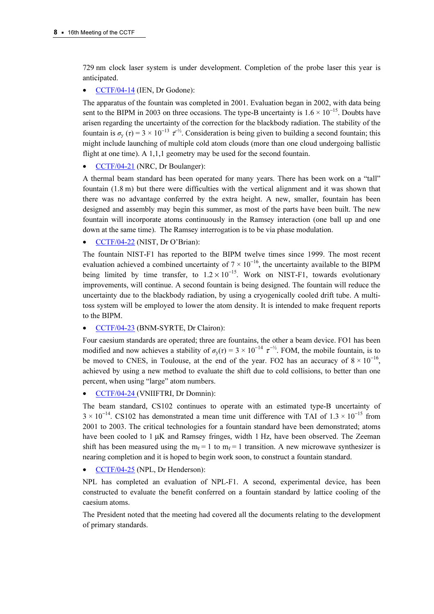729 nm clock laser system is under development. Completion of the probe laser this year is anticipated.

## • CCTF/04-14 (IEN, Dr Godone):

[The apparatus of the fountain was completed](https://www.bipm.org/cc/CCTF/Allowed/16/cctf04-14.pdf) in 2001. Evaluation began in 2002, with data being sent to the BIPM in 2003 on three occasions. The type-B uncertainty is  $1.6 \times 10^{-15}$ . Doubts have arisen regarding the uncertainty of the correction for the blackbody radiation. The stability of the fountain is  $\sigma_y(\tau) = 3 \times 10^{-13} \tau^{-1/2}$ . Consideration is being given to building a second fountain; this might include launching of multiple cold atom clouds (more than one cloud undergoing ballistic flight at one time). A 1,1,1 geometry may be used for the second fountain.

• CCTF/04-21 (NRC, Dr Boulanger):

[A thermal beam standard has been opera](https://www.bipm.org/cc/CCTF/Allowed/16/cctf04-21.pdf)ted for many years. There has been work on a "tall" fountain (1.8 m) but there were difficulties with the vertical alignment and it was shown that there was no advantage conferred by the extra height. A new, smaller, fountain has been designed and assembly may begin this summer, as most of the parts have been built. The new fountain will incorporate atoms continuously in the Ramsey interaction (one ball up and one down at the same time). The Ramsey interrogation is to be via phase modulation.

• CCTF/04-22 (NIST, Dr O'Brian):

[The fountain NIST-F1 has reported to the BI](https://www.bipm.org/cc/CCTF/Allowed/16/cctf04-22.pdf)PM twelve times since 1999. The most recent evaluation achieved a combined uncertainty of  $7 \times 10^{-16}$ , the uncertainty available to the BIPM being limited by time transfer, to  $1.2 \times 10^{-15}$ . Work on NIST-F1, towards evolutionary improvements, will continue. A second fountain is being designed. The fountain will reduce the uncertainty due to the blackbody radiation, by using a cryogenically cooled drift tube. A multitoss system will be employed to lower the atom density. It is intended to make frequent reports to the BIPM.

• CCTF/04-23 (BNM-SYRTE, Dr Clairon):

[Four caesium standards are operated; three are fount](https://www.bipm.org/cc/CCTF/Allowed/16/cctf04-23.pdf)ains, the other a beam device. FO1 has been modified and now achieves a stability of  $\sigma_y(\tau) = 3 \times 10^{-14} \tau^{-1/2}$ . FOM, the mobile fountain, is to be moved to CNES, in Toulouse, at the end of the year. FO2 has an accuracy of  $8 \times 10^{-16}$ , achieved by using a new method to evaluate the shift due to cold collisions, to better than one percent, when using "large" atom numbers.

### • CCTF/04-24 (VNIIFTRI, Dr Domnin):

[The beam standard, CS102 continues to operate](https://www.bipm.org/cc/CCTF/Allowed/16/cctf04-24.pdf) with an estimated type-B uncertainty of  $3 \times 10^{-14}$ . CS102 has demonstrated a mean time unit difference with TAI of 1.3 × 10<sup>-15</sup> from 2001 to 2003. The critical technologies for a fountain standard have been demonstrated; atoms have been cooled to 1  $\mu$ K and Ramsey fringes, width 1 Hz, have been observed. The Zeeman shift has been measured using the  $m_f = 1$  to  $m_f = 1$  transition. A new microwave synthesizer is nearing completion and it is hoped to begin work soon, to construct a fountain standard.

• CCTF/04-25 (NPL, Dr Henderson):

[NPL has completed an evaluation of NPL](https://www.bipm.org/cc/CCTF/Allowed/16/cctf04-25.pdf)-F1. A second, experimental device, has been constructed to evaluate the benefit conferred on a fountain standard by lattice cooling of the caesium atoms.

The President noted that the meeting had covered all the documents relating to the development of primary standards.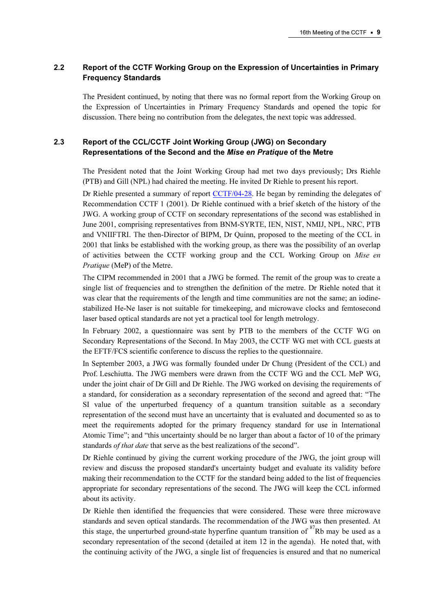# 2.2 Report of the CCTF Working Group on the Expression of Uncertainties in Primary Frequency Standards

The President continued, by noting that there was no formal report from the Working Group on the Expression of Uncertainties in Primary Frequency Standards and opened the topic for discussion. There being no contribution from the delegates, the next topic was addressed.

# 2.3 Report of the CCL/CCTF Joint Working Group (JWG) on Secondary Representations of the Second and the Mise en Pratique of the Metre

The President noted that the Joint Working Group had met two days previously; Drs Riehle (PTB) and Gill (NPL) had chaired the meeting. He invited Dr Riehle to present his report.

Dr Riehle presented a summary of r[eport CCTF/04-28. He began](https://www.bipm.org/cc/CCTF/Allowed/16/cctf04-28.pdf) by reminding the delegates of Recommendation CCTF 1 (2001). Dr Riehle continued with a brief sketch of the history of the JWG. A working group of CCTF on secondary representations of the second was established in June 2001, comprising representatives from BNM-SYRTE, IEN, NIST, NMIJ, NPL, NRC, PTB and VNIIFTRI. The then-Director of BIPM, Dr Quinn, proposed to the meeting of the CCL in 2001 that links be established with the working group, as there was the possibility of an overlap of activities between the CCTF working group and the CCL Working Group on Mise en Pratique (MeP) of the Metre.

The CIPM recommended in 2001 that a JWG be formed. The remit of the group was to create a single list of frequencies and to strengthen the definition of the metre. Dr Riehle noted that it was clear that the requirements of the length and time communities are not the same; an iodinestabilized He-Ne laser is not suitable for timekeeping, and microwave clocks and femtosecond laser based optical standards are not yet a practical tool for length metrology.

In February 2002, a questionnaire was sent by PTB to the members of the CCTF WG on Secondary Representations of the Second. In May 2003, the CCTF WG met with CCL guests at the EFTF/FCS scientific conference to discuss the replies to the questionnaire.

In September 2003, a JWG was formally founded under Dr Chung (President of the CCL) and Prof. Leschiutta. The JWG members were drawn from the CCTF WG and the CCL MeP WG, under the joint chair of Dr Gill and Dr Riehle. The JWG worked on devising the requirements of a standard, for consideration as a secondary representation of the second and agreed that: "The SI value of the unperturbed frequency of a quantum transition suitable as a secondary representation of the second must have an uncertainty that is evaluated and documented so as to meet the requirements adopted for the primary frequency standard for use in International Atomic Time"; and "this uncertainty should be no larger than about a factor of 10 of the primary standards of that date that serve as the best realizations of the second".

Dr Riehle continued by giving the current working procedure of the JWG, the joint group will review and discuss the proposed standard's uncertainty budget and evaluate its validity before making their recommendation to the CCTF for the standard being added to the list of frequencies appropriate for secondary representations of the second. The JWG will keep the CCL informed about its activity.

Dr Riehle then identified the frequencies that were considered. These were three microwave standards and seven optical standards. The recommendation of the JWG was then presented. At this stage, the unperturbed ground-state hyperfine quantum transition of  ${}^{87}Rb$  may be used as a secondary representation of the second (detailed at item 12 in the agenda). He noted that, with the continuing activity of the JWG, a single list of frequencies is ensured and that no numerical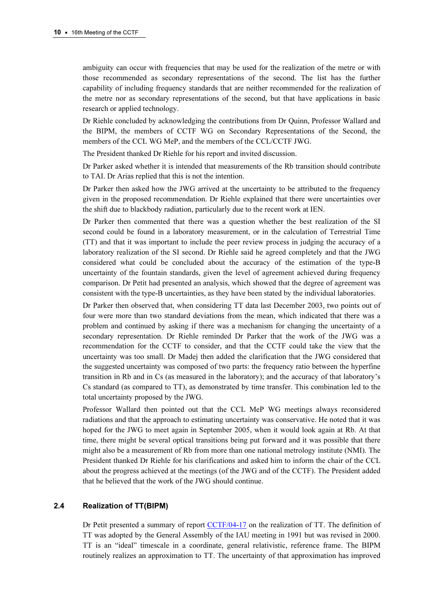ambiguity can occur with frequencies that may be used for the realization of the metre or with those recommended as secondary representations of the second. The list has the further capability of including frequency standards that are neither recommended for the realization of the metre nor as secondary representations of the second, but that have applications in basic research or applied technology.

Dr Riehle concluded by acknowledging the contributions from Dr Quinn, Professor Wallard and the BIPM, the members of CCTF WG on Secondary Representations of the Second, the members of the CCL WG MeP, and the members of the CCL/CCTF JWG.

The President thanked Dr Riehle for his report and invited discussion.

Dr Parker asked whether it is intended that measurements of the Rb transition should contribute to TAI. Dr Arias replied that this is not the intention.

Dr Parker then asked how the JWG arrived at the uncertainty to be attributed to the frequency given in the proposed recommendation. Dr Riehle explained that there were uncertainties over the shift due to blackbody radiation, particularly due to the recent work at IEN.

Dr Parker then commented that there was a question whether the best realization of the SI second could be found in a laboratory measurement, or in the calculation of Terrestrial Time (TT) and that it was important to include the peer review process in judging the accuracy of a laboratory realization of the SI second. Dr Riehle said he agreed completely and that the JWG considered what could be concluded about the accuracy of the estimation of the type-B uncertainty of the fountain standards, given the level of agreement achieved during frequency comparison. Dr Petit had presented an analysis, which showed that the degree of agreement was consistent with the type-B uncertainties, as they have been stated by the individual laboratories.

Dr Parker then observed that, when considering TT data last December 2003, two points out of four were more than two standard deviations from the mean, which indicated that there was a problem and continued by asking if there was a mechanism for changing the uncertainty of a secondary representation. Dr Riehle reminded Dr Parker that the work of the JWG was a recommendation for the CCTF to consider, and that the CCTF could take the view that the uncertainty was too small. Dr Madej then added the clarification that the JWG considered that the suggested uncertainty was composed of two parts: the frequency ratio between the hyperfine transition in Rb and in Cs (as measured in the laboratory); and the accuracy of that laboratory's Cs standard (as compared to TT), as demonstrated by time transfer. This combination led to the total uncertainty proposed by the JWG.

Professor Wallard then pointed out that the CCL MeP WG meetings always reconsidered radiations and that the approach to estimating uncertainty was conservative. He noted that it was hoped for the JWG to meet again in September 2005, when it would look again at Rb. At that time, there might be several optical transitions being put forward and it was possible that there might also be a measurement of Rb from more than one national metrology institute (NMI). The President thanked Dr Riehle for his clarifications and asked him to inform the chair of the CCL about the progress achieved at the meetings (of the JWG and of the CCTF). The President added that he believed that the work of the JWG should continue.

### 2.4 Realization of TT(BIPM)

Dr Petit presented a summary of r[eport CCTF/04-17 on the realization](https://www.bipm.org/cc/CCTF/Allowed/16/cctf04-17.pdf) of TT. The definition of TT was adopted by the General Assembly of the IAU meeting in 1991 but was revised in 2000. TT is an "ideal" timescale in a coordinate, general relativistic, reference frame. The BIPM routinely realizes an approximation to TT. The uncertainty of that approximation has improved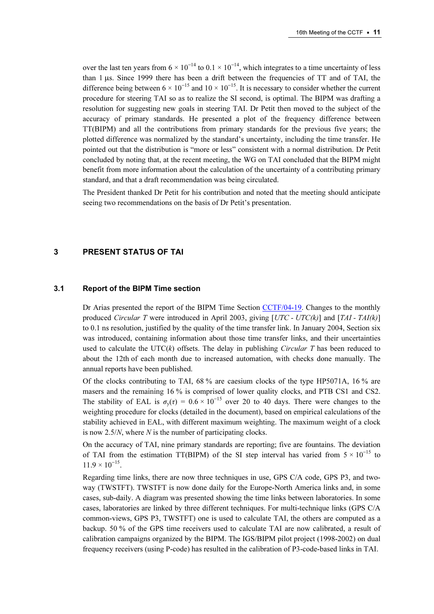over the last ten years from  $6 \times 10^{-14}$  to  $0.1 \times 10^{-14}$ , which integrates to a time uncertainty of less than 1 µs. Since 1999 there has been a drift between the frequencies of TT and of TAI, the difference being between  $6 \times 10^{-15}$  and  $10 \times 10^{-15}$ . It is necessary to consider whether the current procedure for steering TAI so as to realize the SI second, is optimal. The BIPM was drafting a resolution for suggesting new goals in steering TAI. Dr Petit then moved to the subject of the accuracy of primary standards. He presented a plot of the frequency difference between TT(BIPM) and all the contributions from primary standards for the previous five years; the plotted difference was normalized by the standard's uncertainty, including the time transfer. He pointed out that the distribution is "more or less" consistent with a normal distribution. Dr Petit concluded by noting that, at the recent meeting, the WG on TAI concluded that the BIPM might benefit from more information about the calculation of the uncertainty of a contributing primary standard, and that a draft recommendation was being circulated.

The President thanked Dr Petit for his contribution and noted that the meeting should anticipate seeing two recommendations on the basis of Dr Petit's presentation.

### 3 PRESENT STATUS OF TAI

### 3.1 Report of the BIPM Time section

Dr Arias presented the report of the BIPM Time Sec[tion CCTF/04-19. Change](https://www.bipm.org/cc/CCTF/Allowed/16/cctf04-19.pdf)s to the monthly produced Circular T were introduced in April 2003, giving  $[UTC - UTC/k)]$  and  $[TAI - TAI(k)]$ to 0.1 ns resolution, justified by the quality of the time transfer link. In January 2004, Section six was introduced, containing information about those time transfer links, and their uncertainties used to calculate the UTC $(k)$  offsets. The delay in publishing *Circular T* has been reduced to about the 12th of each month due to increased automation, with checks done manually. The annual reports have been published.

Of the clocks contributing to TAI,  $68\%$  are caesium clocks of the type HP5071A, 16% are masers and the remaining 16 % is comprised of lower quality clocks, and PTB CS1 and CS2. The stability of EAL is  $\sigma_{\rm v}(\tau) = 0.6 \times 10^{-15}$  over 20 to 40 days. There were changes to the weighting procedure for clocks (detailed in the document), based on empirical calculations of the stability achieved in EAL, with different maximum weighting. The maximum weight of a clock is now  $2.5/N$ , where N is the number of participating clocks.

On the accuracy of TAI, nine primary standards are reporting; five are fountains. The deviation of TAI from the estimation TT(BIPM) of the SI step interval has varied from  $5 \times 10^{-15}$  to  $11.9 \times 10^{-15}$ .

Regarding time links, there are now three techniques in use, GPS C/A code, GPS P3, and twoway (TWSTFT). TWSTFT is now done daily for the Europe-North America links and, in some cases, sub-daily. A diagram was presented showing the time links between laboratories. In some cases, laboratories are linked by three different techniques. For multi-technique links (GPS C/A common-views, GPS P3, TWSTFT) one is used to calculate TAI, the others are computed as a backup. 50 % of the GPS time receivers used to calculate TAI are now calibrated, a result of calibration campaigns organized by the BIPM. The IGS/BIPM pilot project (1998-2002) on dual frequency receivers (using P-code) has resulted in the calibration of P3-code-based links in TAI.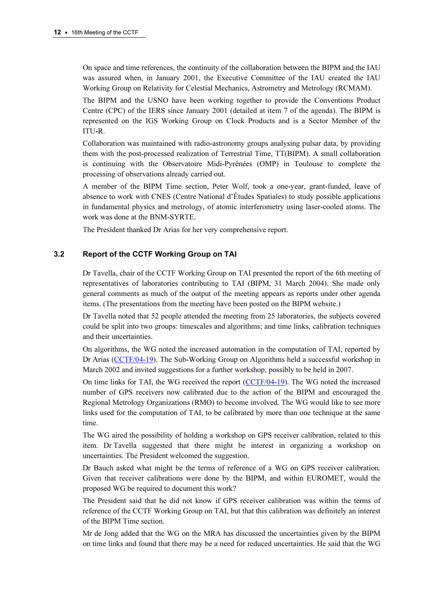On space and time references, the continuity of the collaboration between the BIPM and the IAU was assured when, in January 2001, the Executive Committee of the IAU created the IAU Working Group on Relativity for Celestial Mechanics, Astrometry and Metrology (RCMAM).

The BIPM and the USNO have been working together to provide the Conventions Product Centre (CPC) of the IERS since January 2001 (detailed at item 7 of the agenda). The BIPM is represented on the IGS Working Group on Clock Products and is a Sector Member of the ITU-R.

Collaboration was maintained with radio-astronomy groups analysing pulsar data, by providing them with the post-processed realization of Terrestrial Time, TT(BIPM). A small collaboration is continuing with the Observatoire Midi-Pyrénées (OMP) in Toulouse to complete the processing of observations already carried out.

A member of the BIPM Time section, Peter Wolf, took a one-year, grant-funded, leave of absence to work with CNES (Centre National d'Études Spatiales) to study possible applications in fundamental physics and metrology, of atomic interferometry using laser-cooled atoms. The work was done at the BNM-SYRTE.

The President thanked Dr Arias for her very comprehensive report.

# 3.2 Report of the CCTF Working Group on TAI

Dr Tavella, chair of the CCTF Working Group on TAI presented the report of the 6th meeting of representatives of laboratories contributing to TAI (BIPM, 31 March 2004). She made only general comments as much of the output of the meeting appears as reports under other agenda items. (The presentations from the meeting have been posted on the BIPM website.)

Dr Tavella noted that 52 people attended the meeting from 25 laboratories, the subjects covered could be split into two groups: timescales and algorithms; and time links, calibration techniques and their uncertainties.

On algorithms, the WG noted the increased automation in the computation of TAI, reported by Dr [Arias \(CCTF/04-19\). The Sub-W](https://www.bipm.org/cc/CCTF/Allowed/16/cctf04-19.pdf)orking Group on Algorithms held a successful workshop in March 2002 and invited suggestions for a further workshop, possibly to be held in 2007.

On time links for TAI, the WG received the rep[ort \(CCTF/04-19\). The WG](https://www.bipm.org/cc/CCTF/Allowed/16/cctf04-19.pdf) noted the increased number of GPS receivers now calibrated due to the action of the BIPM and encouraged the Regional Metrology Organizations (RMO) to become involved. The WG would like to see more links used for the computation of TAI, to be calibrated by more than one technique at the same time.

The WG aired the possibility of holding a workshop on GPS receiver calibration, related to this item. Dr Tavella suggested that there might be interest in organizing a workshop on uncertainties. The President welcomed the suggestion.

Dr Bauch asked what might be the terms of reference of a WG on GPS receiver calibration. Given that receiver calibrations were done by the BIPM, and within EUROMET, would the proposed WG be required to document this work?

The President said that he did not know if GPS receiver calibration was within the terms of reference of the CCTF Working Group on TAI, but that this calibration was definitely an interest of the BIPM Time section.

Mr de Jong added that the WG on the MRA has discussed the uncertainties given by the BIPM on time links and found that there may be a need for reduced uncertainties. He said that the WG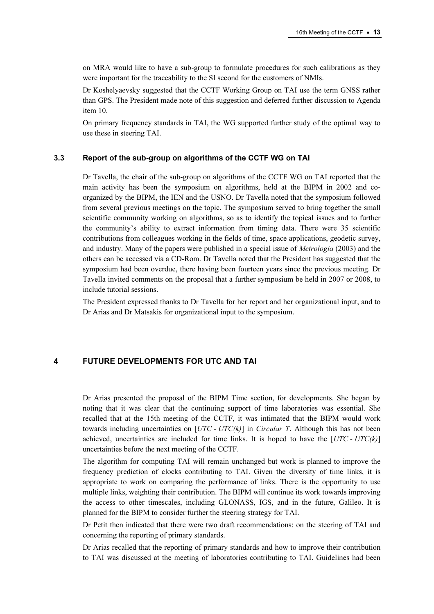on MRA would like to have a sub-group to formulate procedures for such calibrations as they were important for the traceability to the SI second for the customers of NMIs.

Dr Koshelyaevsky suggested that the CCTF Working Group on TAI use the term GNSS rather than GPS. The President made note of this suggestion and deferred further discussion to Agenda item 10.

On primary frequency standards in TAI, the WG supported further study of the optimal way to use these in steering TAI.

### 3.3 Report of the sub-group on algorithms of the CCTF WG on TAI

Dr Tavella, the chair of the sub-group on algorithms of the CCTF WG on TAI reported that the main activity has been the symposium on algorithms, held at the BIPM in 2002 and coorganized by the BIPM, the IEN and the USNO. Dr Tavella noted that the symposium followed from several previous meetings on the topic. The symposium served to bring together the small scientific community working on algorithms, so as to identify the topical issues and to further the community's ability to extract information from timing data. There were 35 scientific contributions from colleagues working in the fields of time, space applications, geodetic survey, and industry. Many of the papers were published in a special issue of *Metrologia* (2003) and the others can be accessed via a CD-Rom. Dr Tavella noted that the President has suggested that the symposium had been overdue, there having been fourteen years since the previous meeting. Dr Tavella invited comments on the proposal that a further symposium be held in 2007 or 2008, to include tutorial sessions.

The President expressed thanks to Dr Tavella for her report and her organizational input, and to Dr Arias and Dr Matsakis for organizational input to the symposium.

### 4 FUTURE DEVELOPMENTS FOR UTC AND TAI

Dr Arias presented the proposal of the BIPM Time section, for developments. She began by noting that it was clear that the continuing support of time laboratories was essential. She recalled that at the 15th meeting of the CCTF, it was intimated that the BIPM would work towards including uncertainties on  $[UTC - UTC(k)]$  in *Circular T*. Although this has not been achieved, uncertainties are included for time links. It is hoped to have the  $[UTC - UTC(k)]$ uncertainties before the next meeting of the CCTF.

The algorithm for computing TAI will remain unchanged but work is planned to improve the frequency prediction of clocks contributing to TAI. Given the diversity of time links, it is appropriate to work on comparing the performance of links. There is the opportunity to use multiple links, weighting their contribution. The BIPM will continue its work towards improving the access to other timescales, including GLONASS, IGS, and in the future, Galileo. It is planned for the BIPM to consider further the steering strategy for TAI.

Dr Petit then indicated that there were two draft recommendations: on the steering of TAI and concerning the reporting of primary standards.

Dr Arias recalled that the reporting of primary standards and how to improve their contribution to TAI was discussed at the meeting of laboratories contributing to TAI. Guidelines had been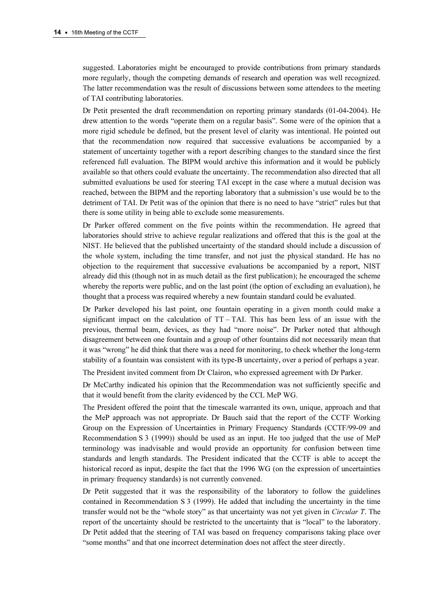suggested. Laboratories might be encouraged to provide contributions from primary standards more regularly, though the competing demands of research and operation was well recognized. The latter recommendation was the result of discussions between some attendees to the meeting of TAI contributing laboratories.

Dr Petit presented the draft recommendation on reporting primary standards (01-04-2004). He drew attention to the words "operate them on a regular basis". Some were of the opinion that a more rigid schedule be defined, but the present level of clarity was intentional. He pointed out that the recommendation now required that successive evaluations be accompanied by a statement of uncertainty together with a report describing changes to the standard since the first referenced full evaluation. The BIPM would archive this information and it would be publicly available so that others could evaluate the uncertainty. The recommendation also directed that all submitted evaluations be used for steering TAI except in the case where a mutual decision was reached, between the BIPM and the reporting laboratory that a submission's use would be to the detriment of TAI. Dr Petit was of the opinion that there is no need to have "strict" rules but that there is some utility in being able to exclude some measurements.

Dr Parker offered comment on the five points within the recommendation. He agreed that laboratories should strive to achieve regular realizations and offered that this is the goal at the NIST. He believed that the published uncertainty of the standard should include a discussion of the whole system, including the time transfer, and not just the physical standard. He has no objection to the requirement that successive evaluations be accompanied by a report, NIST already did this (though not in as much detail as the first publication); he encouraged the scheme whereby the reports were public, and on the last point (the option of excluding an evaluation), he thought that a process was required whereby a new fountain standard could be evaluated.

Dr Parker developed his last point, one fountain operating in a given month could make a significant impact on the calculation of  $TT - TAI$ . This has been less of an issue with the previous, thermal beam, devices, as they had "more noise". Dr Parker noted that although disagreement between one fountain and a group of other fountains did not necessarily mean that it was "wrong" he did think that there was a need for monitoring, to check whether the long-term stability of a fountain was consistent with its type-B uncertainty, over a period of perhaps a year.

The President invited comment from Dr Clairon, who expressed agreement with Dr Parker.

Dr McCarthy indicated his opinion that the Recommendation was not sufficiently specific and that it would benefit from the clarity evidenced by the CCL MeP WG.

The President offered the point that the timescale warranted its own, unique, approach and that the MeP approach was not appropriate. Dr Bauch said that the report of the CCTF Working Group on the Expression of Uncertainties in Primary Frequency Standards (CCTF/99-09 and Recommendation S 3 (1999)) should be used as an input. He too judged that the use of MeP terminology was inadvisable and would provide an opportunity for confusion between time standards and length standards. The President indicated that the CCTF is able to accept the historical record as input, despite the fact that the 1996 WG (on the expression of uncertainties in primary frequency standards) is not currently convened.

Dr Petit suggested that it was the responsibility of the laboratory to follow the guidelines contained in Recommendation S 3 (1999). He added that including the uncertainty in the time transfer would not be the "whole story" as that uncertainty was not yet given in Circular T. The report of the uncertainty should be restricted to the uncertainty that is "local" to the laboratory. Dr Petit added that the steering of TAI was based on frequency comparisons taking place over "some months" and that one incorrect determination does not affect the steer directly.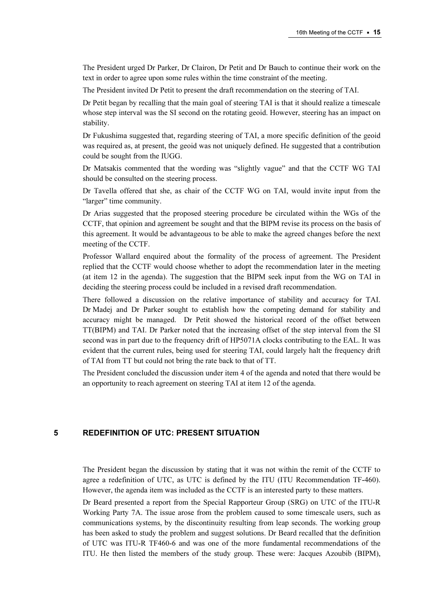The President urged Dr Parker, Dr Clairon, Dr Petit and Dr Bauch to continue their work on the text in order to agree upon some rules within the time constraint of the meeting.

The President invited Dr Petit to present the draft recommendation on the steering of TAI.

Dr Petit began by recalling that the main goal of steering TAI is that it should realize a timescale whose step interval was the SI second on the rotating geoid. However, steering has an impact on stability.

Dr Fukushima suggested that, regarding steering of TAI, a more specific definition of the geoid was required as, at present, the geoid was not uniquely defined. He suggested that a contribution could be sought from the IUGG.

Dr Matsakis commented that the wording was "slightly vague" and that the CCTF WG TAI should be consulted on the steering process.

Dr Tavella offered that she, as chair of the CCTF WG on TAI, would invite input from the "larger" time community.

Dr Arias suggested that the proposed steering procedure be circulated within the WGs of the CCTF, that opinion and agreement be sought and that the BIPM revise its process on the basis of this agreement. It would be advantageous to be able to make the agreed changes before the next meeting of the CCTF.

Professor Wallard enquired about the formality of the process of agreement. The President replied that the CCTF would choose whether to adopt the recommendation later in the meeting (at item 12 in the agenda). The suggestion that the BIPM seek input from the WG on TAI in deciding the steering process could be included in a revised draft recommendation.

There followed a discussion on the relative importance of stability and accuracy for TAI. Dr Madej and Dr Parker sought to establish how the competing demand for stability and accuracy might be managed. Dr Petit showed the historical record of the offset between TT(BIPM) and TAI. Dr Parker noted that the increasing offset of the step interval from the SI second was in part due to the frequency drift of HP5071A clocks contributing to the EAL. It was evident that the current rules, being used for steering TAI, could largely halt the frequency drift of TAI from TT but could not bring the rate back to that of TT.

The President concluded the discussion under item 4 of the agenda and noted that there would be an opportunity to reach agreement on steering TAI at item 12 of the agenda.

### 5 REDEFINITION OF UTC: PRESENT SITUATION

The President began the discussion by stating that it was not within the remit of the CCTF to agree a redefinition of UTC, as UTC is defined by the ITU (ITU Recommendation TF-460). However, the agenda item was included as the CCTF is an interested party to these matters.

Dr Beard presented a report from the Special Rapporteur Group (SRG) on UTC of the ITU-R Working Party 7A. The issue arose from the problem caused to some timescale users, such as communications systems, by the discontinuity resulting from leap seconds. The working group has been asked to study the problem and suggest solutions. Dr Beard recalled that the definition of UTC was ITU-R TF460-6 and was one of the more fundamental recommendations of the ITU. He then listed the members of the study group. These were: Jacques Azoubib (BIPM),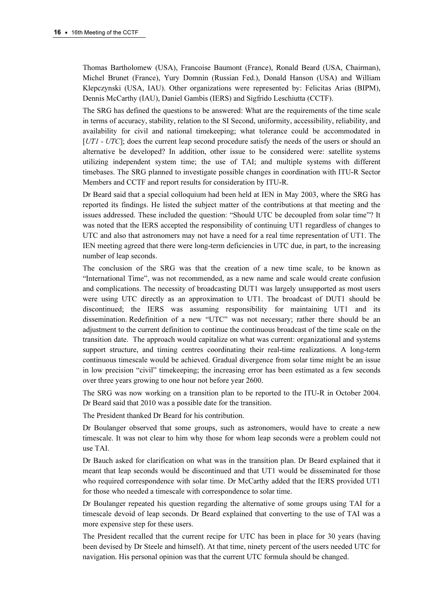Thomas Bartholomew (USA), Francoise Baumont (France), Ronald Beard (USA, Chairman), Michel Brunet (France), Yury Domnin (Russian Fed.), Donald Hanson (USA) and William Klepczynski (USA, IAU). Other organizations were represented by: Felicitas Arias (BIPM), Dennis McCarthy (IAU), Daniel Gambis (IERS) and Sigfrido Leschiutta (CCTF).

The SRG has defined the questions to be answered: What are the requirements of the time scale in terms of accuracy, stability, relation to the SI Second, uniformity, accessibility, reliability, and availability for civil and national timekeeping; what tolerance could be accommodated in  $[UTI - UTC]$ ; does the current leap second procedure satisfy the needs of the users or should an alternative be developed? In addition, other issue to be considered were: satellite systems utilizing independent system time; the use of TAI; and multiple systems with different timebases. The SRG planned to investigate possible changes in coordination with ITU-R Sector Members and CCTF and report results for consideration by ITU-R.

Dr Beard said that a special colloquium had been held at IEN in May 2003, where the SRG has reported its findings. He listed the subject matter of the contributions at that meeting and the issues addressed. These included the question: "Should UTC be decoupled from solar time"? It was noted that the IERS accepted the responsibility of continuing UT1 regardless of changes to UTC and also that astronomers may not have a need for a real time representation of UT1. The IEN meeting agreed that there were long-term deficiencies in UTC due, in part, to the increasing number of leap seconds.

The conclusion of the SRG was that the creation of a new time scale, to be known as "International Time", was not recommended, as a new name and scale would create confusion and complications. The necessity of broadcasting DUT1 was largely unsupported as most users were using UTC directly as an approximation to UT1. The broadcast of DUT1 should be discontinued; the IERS was assuming responsibility for maintaining UT1 and its dissemination. Redefinition of a new "UTC" was not necessary; rather there should be an adjustment to the current definition to continue the continuous broadcast of the time scale on the transition date. The approach would capitalize on what was current: organizational and systems support structure, and timing centres coordinating their real-time realizations. A long-term continuous timescale would be achieved. Gradual divergence from solar time might be an issue in low precision "civil" timekeeping; the increasing error has been estimated as a few seconds over three years growing to one hour not before year 2600.

The SRG was now working on a transition plan to be reported to the ITU-R in October 2004. Dr Beard said that 2010 was a possible date for the transition.

The President thanked Dr Beard for his contribution.

Dr Boulanger observed that some groups, such as astronomers, would have to create a new timescale. It was not clear to him why those for whom leap seconds were a problem could not use TAI.

Dr Bauch asked for clarification on what was in the transition plan. Dr Beard explained that it meant that leap seconds would be discontinued and that UT1 would be disseminated for those who required correspondence with solar time. Dr McCarthy added that the IERS provided UT1 for those who needed a timescale with correspondence to solar time.

Dr Boulanger repeated his question regarding the alternative of some groups using TAI for a timescale devoid of leap seconds. Dr Beard explained that converting to the use of TAI was a more expensive step for these users.

The President recalled that the current recipe for UTC has been in place for 30 years (having been devised by Dr Steele and himself). At that time, ninety percent of the users needed UTC for navigation. His personal opinion was that the current UTC formula should be changed.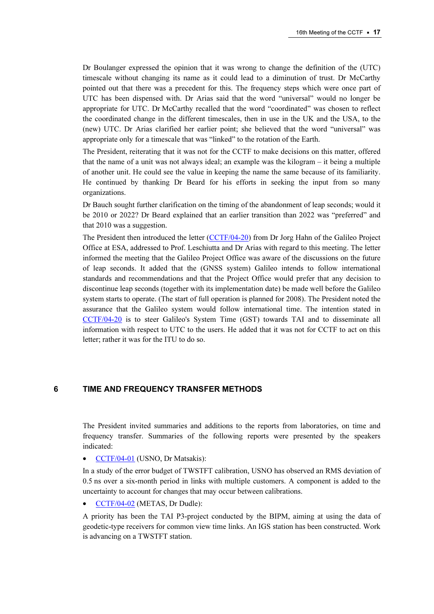Dr Boulanger expressed the opinion that it was wrong to change the definition of the (UTC) timescale without changing its name as it could lead to a diminution of trust. Dr McCarthy pointed out that there was a precedent for this. The frequency steps which were once part of UTC has been dispensed with. Dr Arias said that the word "universal" would no longer be appropriate for UTC. Dr McCarthy recalled that the word "coordinated" was chosen to reflect the coordinated change in the different timescales, then in use in the UK and the USA, to the (new) UTC. Dr Arias clarified her earlier point; she believed that the word "universal" was appropriate only for a timescale that was "linked" to the rotation of the Earth.

The President, reiterating that it was not for the CCTF to make decisions on this matter, offered that the name of a unit was not always ideal; an example was the kilogram – it being a multiple of another unit. He could see the value in keeping the name the same because of its familiarity. He continued by thanking Dr Beard for his efforts in seeking the input from so many organizations.

Dr Bauch sought further clarification on the timing of the abandonment of leap seconds; would it be 2010 or 2022? Dr Beard explained that an earlier transition than 2022 was "preferred" and that 2010 was a suggestion.

The President then introduced the l[etter \(CCTF/04-20\) from Dr Jorg H](https://www.bipm.org/cc/CCTF/Allowed/16/cctf04-20.pdf)ahn of the Galileo Project Office at ESA, addressed to Prof. Leschiutta and Dr Arias with regard to this meeting. The letter informed the meeting that the Galileo Project Office was aware of the discussions on the future of leap seconds. It added that the (GNSS system) Galileo intends to follow international standards and recommendations and that the Project Office would prefer that any decision to discontinue leap seconds (together with its implementation date) be made well before the Galileo system starts to operate. (The start of full operation is planned for 2008). The President noted the assurance that the Galileo system would follow international time. The intention stated in [CCTF/04-20 is to steer Ga](https://www.bipm.org/cc/CCTF/Allowed/16/cctf04-20.pdf)lileo's System Time (GST) towards TAI and to disseminate all information with respect to UTC to the users. He added that it was not for CCTF to act on this letter; rather it was for the ITU to do so.

### 6 TIME AND FREQUENCY TRANSFER METHODS

The President invited summaries and additions to the reports from laboratories, on time and frequency transfer. Summaries of the following reports were presented by the speakers indicated:

• CCTF/04-01 (USNO, Dr Matsakis):

[In a study of the error budget of TWS](https://www.bipm.org/cc/CCTF/Allowed/16/cctf04-01.pdf)TFT calibration, USNO has observed an RMS deviation of 0.5 ns over a six-month period in links with multiple customers. A component is added to the uncertainty to account for changes that may occur between calibrations.

• CCTF/04-02 (METAS, Dr Dudle):

[A priority has been the TAI P3-project co](https://www.bipm.org/cc/CCTF/Allowed/16/cctf04-02.pdf)nducted by the BIPM, aiming at using the data of geodetic-type receivers for common view time links. An IGS station has been constructed. Work is advancing on a TWSTFT station.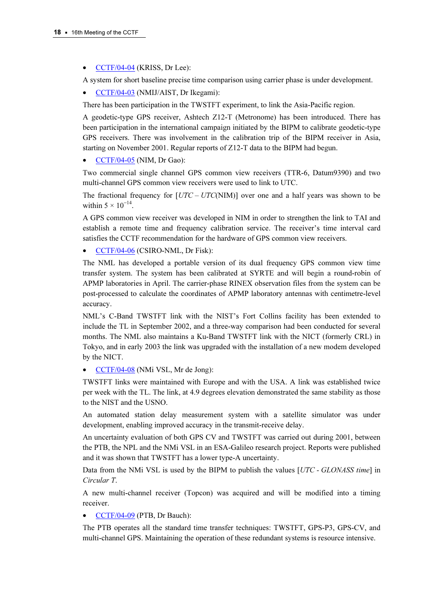• [CCTF/04-04 \(KRISS, Dr Lee\):](https://www.bipm.org/cc/CCTF/Allowed/16/cctf04-04.pdf) 

A system for short baseline precise time comparison using carrier phase is under development.

• CCTF/04-03 (NMIJ/AIST, Dr Ikegami):

[There has been participation in the TWSTFT e](https://www.bipm.org/cc/CCTF/Allowed/16/cctf04-03.pdf)xperiment, to link the Asia-Pacific region.

A geodetic-type GPS receiver, Ashtech Z12-T (Metronome) has been introduced. There has been participation in the international campaign initiated by the BIPM to calibrate geodetic-type GPS receivers. There was involvement in the calibration trip of the BIPM receiver in Asia, [starting on November 2001. Regular report](https://www.bipm.org/cc/CCTF/Allowed/16/cctf04-05.pdf)s of Z12-T data to the BIPM had begun.

• CCTF/04-05 (NIM, Dr Gao):

Two commercial single channel GPS common view receivers (TTR-6, Datum9390) and two multi-channel GPS common view receivers were used to link to UTC.

The fractional frequency for  $[UTC - UTC(NIM)]$  over one and a half years was shown to be within  $5 \times 10^{-14}$ .

A GPS common view receiver was developed in NIM in order to strengthen the link to TAI and establish a remote time and frequency calibration service. The receiver's time interval card satisfies the CCTF recommendation for the hardware of GPS common view receivers.

• CCTF/04-06 (CSIRO-NML, Dr Fisk):

[The NML has developed a portable version](https://www.bipm.org/cc/CCTF/Allowed/16/cctf04-06.pdf) of its dual frequency GPS common view time transfer system. The system has been calibrated at SYRTE and will begin a round-robin of APMP laboratories in April. The carrier-phase RINEX observation files from the system can be post-processed to calculate the coordinates of APMP laboratory antennas with centimetre-level accuracy.

NML's C-Band TWSTFT link with the NIST's Fort Collins facility has been extended to include the TL in September 2002, and a three-way comparison had been conducted for several months. The NML also maintains a Ku-Band TWSTFT link with the NICT (formerly CRL) in Tokyo, and in early 2003 the link was upgraded with the installation of a new modem developed by the NICT.

• CCTF/04-08 (NMi VSL, Mr de Jong):

[TWSTFT links were maintained with Europe and](https://www.bipm.org/cc/CCTF/Allowed/16/cctf04-08.pdf) with the USA. A link was established twice per week with the TL. The link, at 4.9 degrees elevation demonstrated the same stability as those to the NIST and the USNO.

An automated station delay measurement system with a satellite simulator was under development, enabling improved accuracy in the transmit-receive delay.

An uncertainty evaluation of both GPS CV and TWSTFT was carried out during 2001, between the PTB, the NPL and the NMi VSL in an ESA-Galileo research project. Reports were published and it was shown that TWSTFT has a lower type-A uncertainty.

Data from the NMi VSL is used by the BIPM to publish the values [UTC - GLONASS time] in Circular T.

A new multi-channel receiver (Topcon) was acquired and will be modified into a timing receiver.

• CCTF/04-09 (PTB, Dr Bauch):

[The PTB operates all the standard time tran](https://www.bipm.org/cc/CCTF/Allowed/16/cctf04-09.pdf)sfer techniques: TWSTFT, GPS-P3, GPS-CV, and multi-channel GPS. Maintaining the operation of these redundant systems is resource intensive.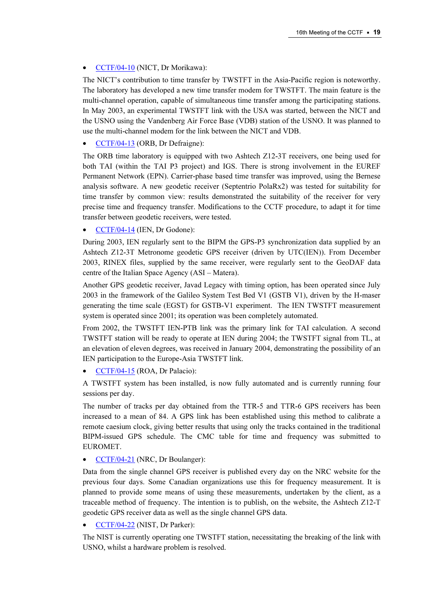### • [CCTF/04-10 \(NICT, Dr Morikawa\):](https://www.bipm.org/cc/CCTF/Allowed/16/cctf04-10.pdf)

The NICT's contribution to time transfer by TWSTFT in the Asia-Pacific region is noteworthy. The laboratory has developed a new time transfer modem for TWSTFT. The main feature is the multi-channel operation, capable of simultaneous time transfer among the participating stations. In May 2003, an experimental TWSTFT link with the USA was started, between the NICT and the USNO using the Vandenberg Air Force Base (VDB) station of the USNO. It was planned to [use the multi-channel modem for the link betw](https://www.bipm.org/cc/CCTF/Allowed/16/cctf04-13.pdf)een the NICT and VDB.

### • CCTF/04-13 (ORB, Dr Defraigne):

The ORB time laboratory is equipped with two Ashtech Z12-3T receivers, one being used for both TAI (within the TAI P3 project) and IGS. There is strong involvement in the EUREF Permanent Network (EPN). Carrier-phase based time transfer was improved, using the Bernese analysis software. A new geodetic receiver (Septentrio PolaRx2) was tested for suitability for time transfer by common view: results demonstrated the suitability of the receiver for very precise time and frequency transfer. Modifications to the CCTF procedure, to adapt it for time transfer between geodetic receivers, were tested.

### • CCTF/04-14 (IEN, Dr Godone):

[During 2003, IEN regularly sent to the](https://www.bipm.org/cc/CCTF/Allowed/16/cctf04-14.pdf) BIPM the GPS-P3 synchronization data supplied by an Ashtech Z12-3T Metronome geodetic GPS receiver (driven by UTC(IEN)). From December 2003, RINEX files, supplied by the same receiver, were regularly sent to the GeoDAF data centre of the Italian Space Agency (ASI – Matera).

Another GPS geodetic receiver, Javad Legacy with timing option, has been operated since July 2003 in the framework of the Galileo System Test Bed V1 (GSTB V1), driven by the H-maser generating the time scale (EGST) for GSTB-V1 experiment. The IEN TWSTFT measurement system is operated since 2001; its operation was been completely automated.

From 2002, the TWSTFT IEN-PTB link was the primary link for TAI calculation. A second TWSTFT station will be ready to operate at IEN during 2004; the TWSTFT signal from TL, at an elevation of eleven degrees, was received in January 2004, demonstrating the possibility of an IEN participation to the Europe-Asia TWSTFT link.

• [CCTF/04-15 \(ROA, Dr Palacio\):](https://www.bipm.org/cc/CCTF/Allowed/16/cctf04-15.pdf) 

A TWSTFT system has been installed, is now fully automated and is currently running four sessions per day.

The number of tracks per day obtained from the TTR-5 and TTR-6 GPS receivers has been increased to a mean of 84. A GPS link has been established using this method to calibrate a remote caesium clock, giving better results that using only the tracks contained in the traditional BIPM-issued GPS schedule. The CMC table for time and frequency was submitted to EUROMET.

#### • CCTF/04-21 (NRC, Dr Boulanger):

[Data from the single channel GPS receiver is p](https://www.bipm.org/cc/CCTF/Allowed/16/cctf04-21.pdf)ublished every day on the NRC website for the previous four days. Some Canadian organizations use this for frequency measurement. It is planned to provide some means of using these measurements, undertaken by the client, as a traceable method of frequency. The intention is to publish, on the website, the Ashtech Z12-T geodetic GPS receiver data as well as the single channel GPS data.

### • CCTF/04-22 (NIST, Dr Parker):

[The NIST is currently operating one TWSTFT stat](https://www.bipm.org/cc/CCTF/Allowed/16/cctf04-22.pdf)ion, necessitating the breaking of the link with USNO, whilst a hardware problem is resolved.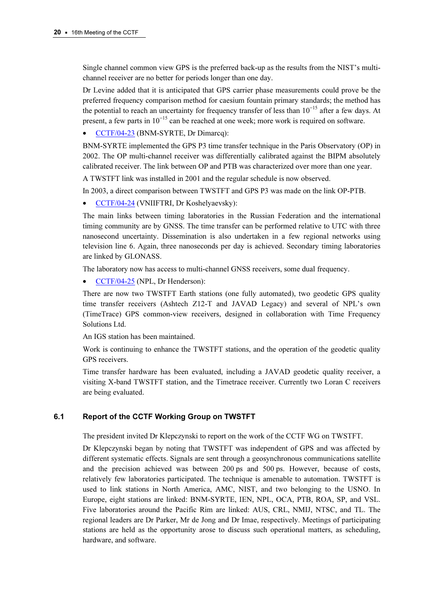Single channel common view GPS is the preferred back-up as the results from the NIST's multichannel receiver are no better for periods longer than one day.

Dr Levine added that it is anticipated that GPS carrier phase measurements could prove be the preferred frequency comparison method for caesium fountain primary standards; the method has the potential to reach an uncertainty for frequency transfer of less than  $10^{-15}$  after a few days. At present, a few parts in  $10^{-15}$  can be reached at one week; more work is required on software.

• [CCTF/04-23 \(BNM-SYRTE, Dr Dimarcq\):](https://www.bipm.org/cc/CCTF/Allowed/16/cctf04-23.pdf) 

BNM-SYRTE implemented the GPS P3 time transfer technique in the Paris Observatory (OP) in 2002. The OP multi-channel receiver was differentially calibrated against the BIPM absolutely calibrated receiver. The link between OP and PTB was characterized over more than one year.

A TWSTFT link was installed in 2001 and the regular schedule is now observed.

In 2003, a direct comparison between TWSTFT and GPS P3 was made on the link OP-PTB.

• CCTF/04-24 (VNIIFTRI, Dr Koshelyaevsky):

[The main links between timing laboratories in the R](https://www.bipm.org/cc/CCTF/Allowed/16/cctf04-24.pdf)ussian Federation and the international timing community are by GNSS. The time transfer can be performed relative to UTC with three nanosecond uncertainty. Dissemination is also undertaken in a few regional networks using television line 6. Again, three nanoseconds per day is achieved. Secondary timing laboratories are linked by GLONASS.

The laboratory now has access to multi-channel GNSS receivers, some dual frequency.

• [CCTF/04-25 \(NPL, Dr Henderson\):](https://www.bipm.org/cc/CCTF/Allowed/16/cctf04-25.pdf) 

There are now two TWSTFT Earth stations (one fully automated), two geodetic GPS quality time transfer receivers (Ashtech Z12-T and JAVAD Legacy) and several of NPL's own (TimeTrace) GPS common-view receivers, designed in collaboration with Time Frequency Solutions Ltd.

An IGS station has been maintained.

Work is continuing to enhance the TWSTFT stations, and the operation of the geodetic quality GPS receivers.

Time transfer hardware has been evaluated, including a JAVAD geodetic quality receiver, a visiting X-band TWSTFT station, and the Timetrace receiver. Currently two Loran C receivers are being evaluated.

# 6.1 Report of the CCTF Working Group on TWSTFT

The president invited Dr Klepczynski to report on the work of the CCTF WG on TWSTFT.

Dr Klepczynski began by noting that TWSTFT was independent of GPS and was affected by different systematic effects. Signals are sent through a geosynchronous communications satellite and the precision achieved was between 200 ps and 500 ps. However, because of costs, relatively few laboratories participated. The technique is amenable to automation. TWSTFT is used to link stations in North America, AMC, NIST, and two belonging to the USNO. In Europe, eight stations are linked: BNM-SYRTE, IEN, NPL, OCA, PTB, ROA, SP, and VSL. Five laboratories around the Pacific Rim are linked: AUS, CRL, NMIJ, NTSC, and TL. The regional leaders are Dr Parker, Mr de Jong and Dr Imae, respectively. Meetings of participating stations are held as the opportunity arose to discuss such operational matters, as scheduling, hardware, and software.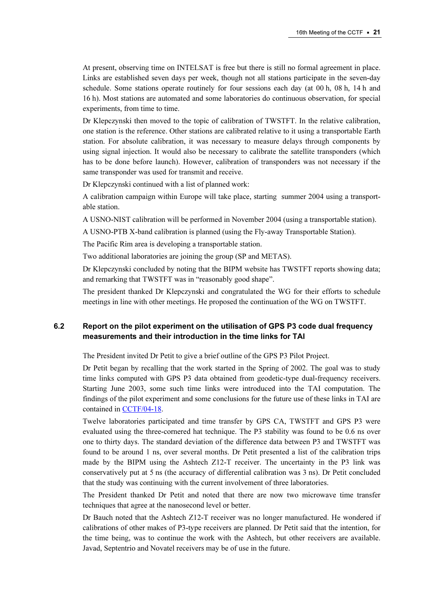At present, observing time on INTELSAT is free but there is still no formal agreement in place. Links are established seven days per week, though not all stations participate in the seven-day schedule. Some stations operate routinely for four sessions each day (at 00 h, 08 h, 14 h and 16 h). Most stations are automated and some laboratories do continuous observation, for special experiments, from time to time.

Dr Klepczynski then moved to the topic of calibration of TWSTFT. In the relative calibration, one station is the reference. Other stations are calibrated relative to it using a transportable Earth station. For absolute calibration, it was necessary to measure delays through components by using signal injection. It would also be necessary to calibrate the satellite transponders (which has to be done before launch). However, calibration of transponders was not necessary if the same transponder was used for transmit and receive.

Dr Klepczynski continued with a list of planned work:

A calibration campaign within Europe will take place, starting summer 2004 using a transportable station.

A USNO-NIST calibration will be performed in November 2004 (using a transportable station).

A USNO-PTB X-band calibration is planned (using the Fly-away Transportable Station).

The Pacific Rim area is developing a transportable station.

Two additional laboratories are joining the group (SP and METAS).

Dr Klepczynski concluded by noting that the BIPM website has TWSTFT reports showing data; and remarking that TWSTFT was in "reasonably good shape".

The president thanked Dr Klepczynski and congratulated the WG for their efforts to schedule meetings in line with other meetings. He proposed the continuation of the WG on TWSTFT.

# 6.2 Report on the pilot experiment on the utilisation of GPS P3 code dual frequency measurements and their introduction in the time links for TAI

The President invited Dr Petit to give a brief outline of the GPS P3 Pilot Project.

Dr Petit began by recalling that the work started in the Spring of 2002. The goal was to study time links computed with GPS P3 data obtained from geodetic-type dual-frequency receivers. Starting June 2003, some such time links were introduced into the TAI computation. The findin[gs of the pilot experiment and so](https://www.bipm.org/cc/CCTF/Allowed/16/cctf04-18.pdf)me conclusions for the future use of these links in TAI are contained in CCTF/04-18.

Twelve laboratories participated and time transfer by GPS CA, TWSTFT and GPS P3 were evaluated using the three-cornered hat technique. The P3 stability was found to be 0.6 ns over one to thirty days. The standard deviation of the difference data between P3 and TWSTFT was found to be around 1 ns, over several months. Dr Petit presented a list of the calibration trips made by the BIPM using the Ashtech Z12-T receiver. The uncertainty in the P3 link was conservatively put at 5 ns (the accuracy of differential calibration was 3 ns). Dr Petit concluded that the study was continuing with the current involvement of three laboratories.

The President thanked Dr Petit and noted that there are now two microwave time transfer techniques that agree at the nanosecond level or better.

Dr Bauch noted that the Ashtech Z12-T receiver was no longer manufactured. He wondered if calibrations of other makes of P3-type receivers are planned. Dr Petit said that the intention, for the time being, was to continue the work with the Ashtech, but other receivers are available. Javad, Septentrio and Novatel receivers may be of use in the future.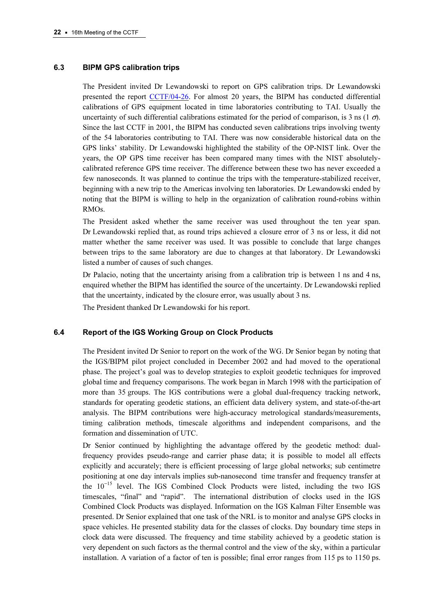### 6.3 BIPM GPS calibration trips

The President invited Dr Lewandowski to report on GPS calibration trips. Dr Lewandowski presented the re[port CCTF/04-26. For almost 20](https://www.bipm.org/cc/CCTF/Allowed/16/cctf04-26.pdf) years, the BIPM has conducted differential calibrations of GPS equipment located in time laboratories contributing to TAI. Usually the uncertainty of such differential calibrations estimated for the period of comparison, is 3 ns (1  $\sigma$ ). Since the last CCTF in 2001, the BIPM has conducted seven calibrations trips involving twenty of the 54 laboratories contributing to TAI. There was now considerable historical data on the GPS links' stability. Dr Lewandowski highlighted the stability of the OP-NIST link. Over the years, the OP GPS time receiver has been compared many times with the NIST absolutelycalibrated reference GPS time receiver. The difference between these two has never exceeded a few nanoseconds. It was planned to continue the trips with the temperature-stabilized receiver, beginning with a new trip to the Americas involving ten laboratories. Dr Lewandowski ended by noting that the BIPM is willing to help in the organization of calibration round-robins within RMOs.

The President asked whether the same receiver was used throughout the ten year span. Dr Lewandowski replied that, as round trips achieved a closure error of 3 ns or less, it did not matter whether the same receiver was used. It was possible to conclude that large changes between trips to the same laboratory are due to changes at that laboratory. Dr Lewandowski listed a number of causes of such changes.

Dr Palacio, noting that the uncertainty arising from a calibration trip is between 1 ns and 4 ns, enquired whether the BIPM has identified the source of the uncertainty. Dr Lewandowski replied that the uncertainty, indicated by the closure error, was usually about 3 ns.

The President thanked Dr Lewandowski for his report.

### 6.4 Report of the IGS Working Group on Clock Products

The President invited Dr Senior to report on the work of the WG. Dr Senior began by noting that the IGS/BIPM pilot project concluded in December 2002 and had moved to the operational phase. The project's goal was to develop strategies to exploit geodetic techniques for improved global time and frequency comparisons. The work began in March 1998 with the participation of more than 35 groups. The IGS contributions were a global dual-frequency tracking network, standards for operating geodetic stations, an efficient data delivery system, and state-of-the-art analysis. The BIPM contributions were high-accuracy metrological standards/measurements, timing calibration methods, timescale algorithms and independent comparisons, and the formation and dissemination of UTC.

Dr Senior continued by highlighting the advantage offered by the geodetic method: dualfrequency provides pseudo-range and carrier phase data; it is possible to model all effects explicitly and accurately; there is efficient processing of large global networks; sub centimetre positioning at one day intervals implies sub-nanosecond time transfer and frequency transfer at the  $10^{-15}$  level. The IGS Combined Clock Products were listed, including the two IGS timescales, "final" and "rapid". The international distribution of clocks used in the IGS Combined Clock Products was displayed. Information on the IGS Kalman Filter Ensemble was presented. Dr Senior explained that one task of the NRL is to monitor and analyse GPS clocks in space vehicles. He presented stability data for the classes of clocks. Day boundary time steps in clock data were discussed. The frequency and time stability achieved by a geodetic station is very dependent on such factors as the thermal control and the view of the sky, within a particular installation. A variation of a factor of ten is possible; final error ranges from 115 ps to 1150 ps.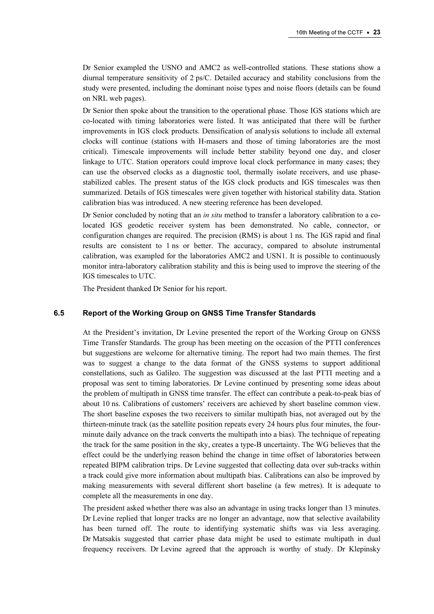Dr Senior exampled the USNO and AMC2 as well-controlled stations. These stations show a diurnal temperature sensitivity of 2 ps/C. Detailed accuracy and stability conclusions from the study were presented, including the dominant noise types and noise floors (details can be found on NRL web pages).

Dr Senior then spoke about the transition to the operational phase. Those IGS stations which are co-located with timing laboratories were listed. It was anticipated that there will be further improvements in IGS clock products. Densification of analysis solutions to include all external clocks will continue (stations with H-masers and those of timing laboratories are the most critical). Timescale improvements will include better stability beyond one day, and closer linkage to UTC. Station operators could improve local clock performance in many cases; they can use the observed clocks as a diagnostic tool, thermally isolate receivers, and use phasestabilized cables. The present status of the IGS clock products and IGS timescales was then summarized. Details of IGS timescales were given together with historical stability data. Station calibration bias was introduced. A new steering reference has been developed.

Dr Senior concluded by noting that an *in situ* method to transfer a laboratory calibration to a colocated IGS geodetic receiver system has been demonstrated. No cable, connector, or configuration changes are required. The precision (RMS) is about 1 ns. The IGS rapid and final results are consistent to 1 ns or better. The accuracy, compared to absolute instrumental calibration, was exampled for the laboratories AMC2 and USN1. It is possible to continuously monitor intra-laboratory calibration stability and this is being used to improve the steering of the IGS timescales to UTC.

The President thanked Dr Senior for his report.

### 6.5 Report of the Working Group on GNSS Time Transfer Standards

At the President's invitation, Dr Levine presented the report of the Working Group on GNSS Time Transfer Standards. The group has been meeting on the occasion of the PTTI conferences but suggestions are welcome for alternative timing. The report had two main themes. The first was to suggest a change to the data format of the GNSS systems to support additional constellations, such as Galileo. The suggestion was discussed at the last PTTI meeting and a proposal was sent to timing laboratories. Dr Levine continued by presenting some ideas about the problem of multipath in GNSS time transfer. The effect can contribute a peak-to-peak bias of about 10 ns. Calibrations of customers' receivers are achieved by short baseline common view. The short baseline exposes the two receivers to similar multipath bias, not averaged out by the thirteen-minute track (as the satellite position repeats every 24 hours plus four minutes, the fourminute daily advance on the track converts the multipath into a bias). The technique of repeating the track for the same position in the sky, creates a type-B uncertainty. The WG believes that the effect could be the underlying reason behind the change in time offset of laboratories between repeated BIPM calibration trips. Dr Levine suggested that collecting data over sub-tracks within a track could give more information about multipath bias. Calibrations can also be improved by making measurements with several different short baseline (a few metres). It is adequate to complete all the measurements in one day.

The president asked whether there was also an advantage in using tracks longer than 13 minutes. Dr Levine replied that longer tracks are no longer an advantage, now that selective availability has been turned off. The route to identifying systematic shifts was via less averaging. Dr Matsakis suggested that carrier phase data might be used to estimate multipath in dual frequency receivers. Dr Levine agreed that the approach is worthy of study. Dr Klepinsky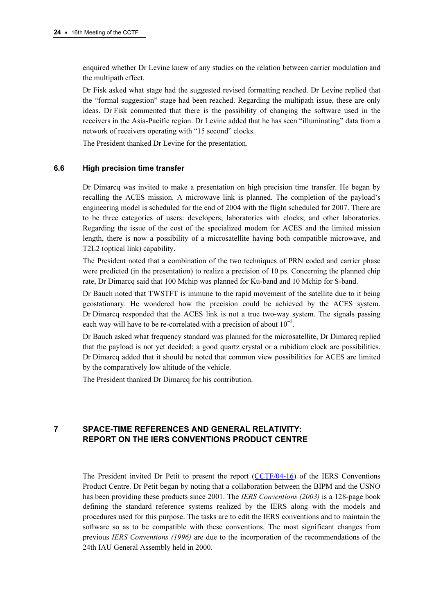enquired whether Dr Levine knew of any studies on the relation between carrier modulation and the multipath effect.

Dr Fisk asked what stage had the suggested revised formatting reached. Dr Levine replied that the "formal suggestion" stage had been reached. Regarding the multipath issue, these are only ideas. Dr Fisk commented that there is the possibility of changing the software used in the receivers in the Asia-Pacific region. Dr Levine added that he has seen "illuminating" data from a network of receivers operating with "15 second" clocks.

The President thanked Dr Levine for the presentation.

### 6.6 High precision time transfer

Dr Dimarcq was invited to make a presentation on high precision time transfer. He began by recalling the ACES mission. A microwave link is planned. The completion of the payload's engineering model is scheduled for the end of 2004 with the flight scheduled for 2007. There are to be three categories of users: developers; laboratories with clocks; and other laboratories. Regarding the issue of the cost of the specialized modem for ACES and the limited mission length, there is now a possibility of a microsatellite having both compatible microwave, and T2L2 (optical link) capability.

The President noted that a combination of the two techniques of PRN coded and carrier phase were predicted (in the presentation) to realize a precision of 10 ps. Concerning the planned chip rate, Dr Dimarcq said that 100 Mchip was planned for Ku-band and 10 Mchip for S-band.

Dr Bauch noted that TWSTFT is immune to the rapid movement of the satellite due to it being geostationary. He wondered how the precision could be achieved by the ACES system. Dr Dimarcq responded that the ACES link is not a true two-way system. The signals passing each way will have to be re-correlated with a precision of about  $10^{-5}$ .

Dr Bauch asked what frequency standard was planned for the microsatellite, Dr Dimarcq replied that the payload is not yet decided; a good quartz crystal or a rubidium clock are possibilities. Dr Dimarcq added that it should be noted that common view possibilities for ACES are limited by the comparatively low altitude of the vehicle.

The President thanked Dr Dimarcq for his contribution.

# 7 SPACE-TIME REFERENCES AND GENERAL RELATIVITY: REPORT ON THE IERS CONVENTIONS PRODUCT CENTRE

The President invited Dr Petit to present the [report \(CCTF/04-16\) of the IERS](https://www.bipm.org/cc/CCTF/Allowed/16/cctf04-16.pdf) Conventions Product Centre. Dr Petit began by noting that a collaboration between the BIPM and the USNO has been providing these products since 2001. The *IERS Conventions (2003)* is a 128-page book defining the standard reference systems realized by the IERS along with the models and procedures used for this purpose. The tasks are to edit the IERS conventions and to maintain the software so as to be compatible with these conventions. The most significant changes from previous IERS Conventions (1996) are due to the incorporation of the recommendations of the 24th IAU General Assembly held in 2000.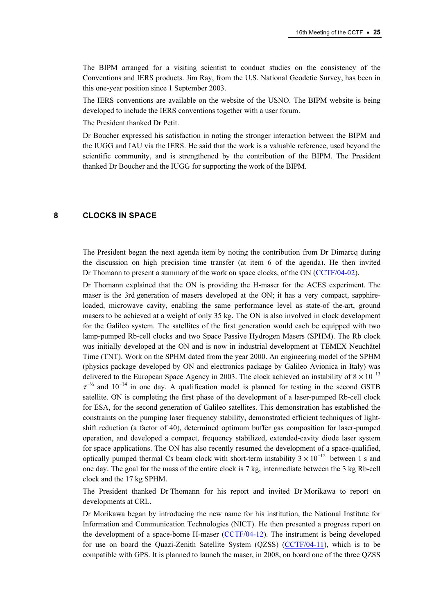The BIPM arranged for a visiting scientist to conduct studies on the consistency of the Conventions and IERS products. Jim Ray, from the U.S. National Geodetic Survey, has been in this one-year position since 1 September 2003.

The IERS conventions are available on the website of the USNO. The BIPM website is being developed to include the IERS conventions together with a user forum.

The President thanked Dr Petit.

Dr Boucher expressed his satisfaction in noting the stronger interaction between the BIPM and the IUGG and IAU via the IERS. He said that the work is a valuable reference, used beyond the scientific community, and is strengthened by the contribution of the BIPM. The President thanked Dr Boucher and the IUGG for supporting the work of the BIPM.

## 8 CLOCKS IN SPACE

The President began the next agenda item by noting the contribution from Dr Dimarcq during the discussion on high precision time transfer (at item 6 of t[he agenda\). He then invited](https://www.bipm.org/cc/CCTF/Allowed/16/cctf04-02.pdf)  Dr Thomann to present a summary of the work on space clocks, of the ON (CCTF/04-02).

Dr Thomann explained that the ON is providing the H-maser for the ACES experiment. The maser is the 3rd generation of masers developed at the ON; it has a very compact, sapphireloaded, microwave cavity, enabling the same performance level as state-of the-art, ground masers to be achieved at a weight of only 35 kg. The ON is also involved in clock development for the Galileo system. The satellites of the first generation would each be equipped with two lamp-pumped Rb-cell clocks and two Space Passive Hydrogen Masers (SPHM). The Rb clock was initially developed at the ON and is now in industrial development at TEMEX Neuchâtel Time (TNT). Work on the SPHM dated from the year 2000. An engineering model of the SPHM (physics package developed by ON and electronics package by Galileo Avionica in Italy) was delivered to the European Space Agency in 2003. The clock achieved an instability of  $8 \times 10^{-13}$  $\tau^{-1/2}$  and 10<sup>-14</sup> in one day. A qualification model is planned for testing in the second GSTB satellite. ON is completing the first phase of the development of a laser-pumped Rb-cell clock for ESA, for the second generation of Galileo satellites. This demonstration has established the constraints on the pumping laser frequency stability, demonstrated efficient techniques of lightshift reduction (a factor of 40), determined optimum buffer gas composition for laser-pumped operation, and developed a compact, frequency stabilized, extended-cavity diode laser system for space applications. The ON has also recently resumed the development of a space-qualified, optically pumped thermal Cs beam clock with short-term instability  $3 \times 10^{-12}$  between 1 s and one day. The goal for the mass of the entire clock is 7 kg, intermediate between the 3 kg Rb-cell clock and the 17 kg SPHM.

The President thanked Dr Thomann for his report and invited Dr Morikawa to report on developments at CRL.

Dr Morikawa began by introducing the new name for his institution, the National Institute for Information and Communication Technologies (NICT). He then presented a progress report on the development of a space-borne H-mas[er \(CCTF/04-12\). T](https://www.bipm.org/cc/CCTF/Allowed/16/cctf04-12.pdf)he instrument is being developed for use on board the Quazi-Zenith Satellite System (QZSS) [\(CCTF/04-11\), wh](https://www.bipm.org/cc/CCTF/Allowed/16/cctf04-11.pdf)ich is to be compatible with GPS. It is planned to launch the maser, in 2008, on board one of the three QZSS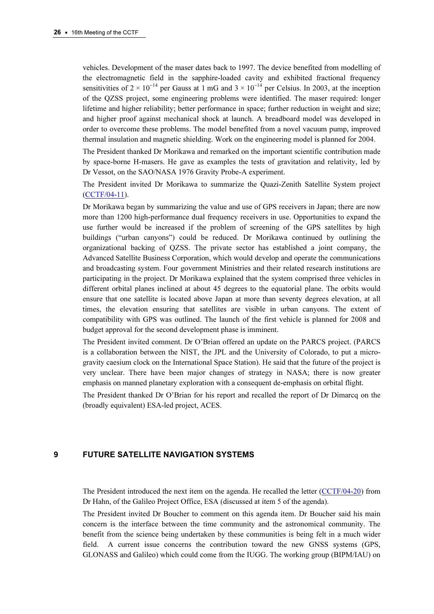vehicles. Development of the maser dates back to 1997. The device benefited from modelling of the electromagnetic field in the sapphire-loaded cavity and exhibited fractional frequency sensitivities of  $2 \times 10^{-14}$  per Gauss at 1 mG and  $3 \times 10^{-14}$  per Celsius. In 2003, at the inception of the QZSS project, some engineering problems were identified. The maser required: longer lifetime and higher reliability; better performance in space; further reduction in weight and size; and higher proof against mechanical shock at launch. A breadboard model was developed in order to overcome these problems. The model benefited from a novel vacuum pump, improved thermal insulation and magnetic shielding. Work on the engineering model is planned for 2004.

The President thanked Dr Morikawa and remarked on the important scientific contribution made by space-borne H-masers. He gave as examples the tests of gravitation and relativity, led by Dr Vessot, on the SAO/NASA 1976 Gravity Probe-A experiment.

[The President invited D](https://www.bipm.org/cc/CCTF/Allowed/16/cctf04-11.pdf)r Morikawa to summarize the Quazi-Zenith Satellite System project (CCTF/04-11).

Dr Morikawa began by summarizing the value and use of GPS receivers in Japan; there are now more than 1200 high-performance dual frequency receivers in use. Opportunities to expand the use further would be increased if the problem of screening of the GPS satellites by high buildings ("urban canyons") could be reduced. Dr Morikawa continued by outlining the organizational backing of QZSS. The private sector has established a joint company, the Advanced Satellite Business Corporation, which would develop and operate the communications and broadcasting system. Four government Ministries and their related research institutions are participating in the project. Dr Morikawa explained that the system comprised three vehicles in different orbital planes inclined at about 45 degrees to the equatorial plane. The orbits would ensure that one satellite is located above Japan at more than seventy degrees elevation, at all times, the elevation ensuring that satellites are visible in urban canyons. The extent of compatibility with GPS was outlined. The launch of the first vehicle is planned for 2008 and budget approval for the second development phase is imminent.

The President invited comment. Dr O'Brian offered an update on the PARCS project. (PARCS is a collaboration between the NIST, the JPL and the University of Colorado, to put a microgravity caesium clock on the International Space Station). He said that the future of the project is very unclear. There have been major changes of strategy in NASA; there is now greater emphasis on manned planetary exploration with a consequent de-emphasis on orbital flight.

The President thanked Dr O'Brian for his report and recalled the report of Dr Dimarcq on the (broadly equivalent) ESA-led project, ACES.

## 9 FUTURE SATELLITE NAVIGATION SYSTEMS

The President introduced the next item on the agenda. He recalled the let[ter \(CCTF/04-20\) from](https://www.bipm.org/cc/CCTF/Allowed/16/cctf04-20.pdf)  Dr Hahn, of the Galileo Project Office, ESA (discussed at item 5 of the agenda).

The President invited Dr Boucher to comment on this agenda item. Dr Boucher said his main concern is the interface between the time community and the astronomical community. The benefit from the science being undertaken by these communities is being felt in a much wider field. A current issue concerns the contribution toward the new GNSS systems (GPS, GLONASS and Galileo) which could come from the IUGG. The working group (BIPM/IAU) on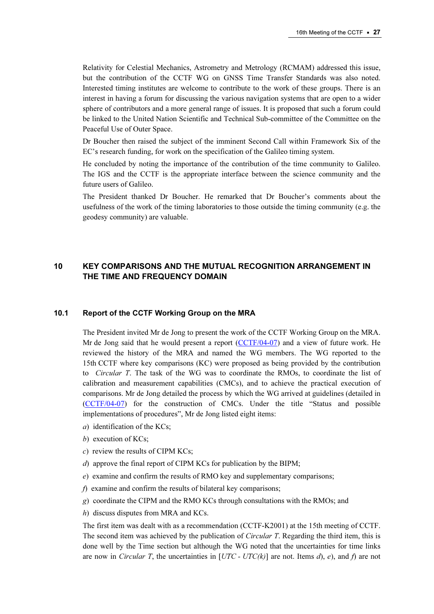Relativity for Celestial Mechanics, Astrometry and Metrology (RCMAM) addressed this issue, but the contribution of the CCTF WG on GNSS Time Transfer Standards was also noted. Interested timing institutes are welcome to contribute to the work of these groups. There is an interest in having a forum for discussing the various navigation systems that are open to a wider sphere of contributors and a more general range of issues. It is proposed that such a forum could be linked to the United Nation Scientific and Technical Sub-committee of the Committee on the Peaceful Use of Outer Space.

Dr Boucher then raised the subject of the imminent Second Call within Framework Six of the EC's research funding, for work on the specification of the Galileo timing system.

He concluded by noting the importance of the contribution of the time community to Galileo. The IGS and the CCTF is the appropriate interface between the science community and the future users of Galileo.

The President thanked Dr Boucher. He remarked that Dr Boucher's comments about the usefulness of the work of the timing laboratories to those outside the timing community (e.g. the geodesy community) are valuable.

# 10 KEY COMPARISONS AND THE MUTUAL RECOGNITION ARRANGEMENT IN THE TIME AND FREQUENCY DOMAIN

#### 10.1 Report of the CCTF Working Group on the MRA

The President invited Mr de Jong to present the work of the CCTF Working Group on the MRA. Mr de Jong said that he would present a re[port \(CCTF/04-07\) and a v](https://www.bipm.org/cc/CCTF/Allowed/16/cctf04-07.pdf)iew of future work. He reviewed the history of the MRA and named the WG members. The WG reported to the 15th CCTF where key comparisons (KC) were proposed as being provided by the contribution to *Circular T*. The task of the WG was to coordinate the RMOs, to coordinate the list of calibration and measurement capabilities (CMCs), and to achieve the practical execution of comparisons. Mr de Jong detailed the process by which the WG arrived at guidelines (detailed in [\(CCTF/04-07\) for the c](https://www.bipm.org/cc/CCTF/Allowed/16/cctf04-07.pdf)onstruction of CMCs. Under the title "Status and possible implementations of procedures", Mr de Jong listed eight items:

- a) identification of the KCs;
- b) execution of KCs:
- $c)$  review the results of CIPM KCs;
- d) approve the final report of CIPM KCs for publication by the BIPM;
- e) examine and confirm the results of RMO key and supplementary comparisons;
- f) examine and confirm the results of bilateral key comparisons;
- g) coordinate the CIPM and the RMO KCs through consultations with the RMOs; and
- h) discuss disputes from MRA and KCs.

The first item was dealt with as a recommendation (CCTF-K2001) at the 15th meeting of CCTF. The second item was achieved by the publication of *Circular T*. Regarding the third item, this is done well by the Time section but although the WG noted that the uncertainties for time links are now in *Circular T*, the uncertainties in  $[UTC - UTC/k)]$  are not. Items d), e), and f) are not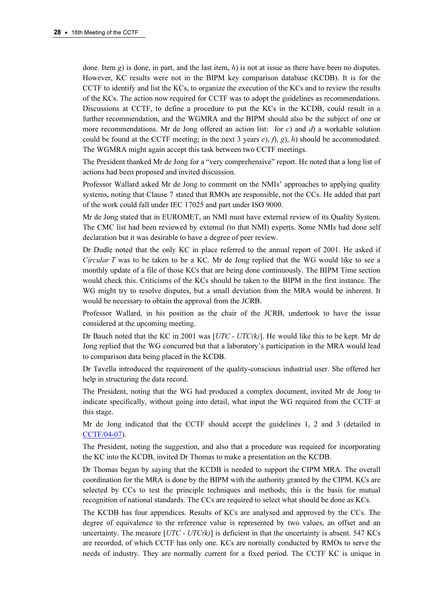done. Item g) is done, in part, and the last item, h) is not at issue as there have been no disputes. However, KC results were not in the BIPM key comparison database (KCDB). It is for the CCTF to identify and list the KCs, to organize the execution of the KCs and to review the results of the KCs. The action now required for CCTF was to adopt the guidelines as recommendations. Discussions at CCTF, to define a procedure to put the KCs in the KCDB, could result in a further recommendation, and the WGMRA and the BIPM should also be the subject of one or more recommendations. Mr de Jong offered an action list: for c) and d) a workable solution could be found at the CCTF meeting; in the next 3 years  $e$ ,  $f$ ,  $g$ ,  $h$ ) should be accommodated. The WGMRA might again accept this task between two CCTF meetings.

The President thanked Mr de Jong for a "very comprehensive" report. He noted that a long list of actions had been proposed and invited discussion.

Professor Wallard asked Mr de Jong to comment on the NMIs' approaches to applying quality systems, noting that Clause 7 stated that RMOs are responsible, not the CCs. He added that part of the work could fall under IEC 17025 and part under ISO 9000.

Mr de Jong stated that in EUROMET, an NMI must have external review of its Quality System. The CMC list had been reviewed by external (to that NMI) experts. Some NMIs had done self declaration but it was desirable to have a degree of peer review.

Dr Dudle noted that the only KC in place referred to the annual report of 2001. He asked if Circular  $T$  was to be taken to be a KC. Mr de Jong replied that the WG would like to see a monthly update of a file of those KCs that are being done continuously. The BIPM Time section would check this. Criticisms of the KCs should be taken to the BIPM in the first instance. The WG might try to resolve disputes, but a small deviation from the MRA would be inherent. It would be necessary to obtain the approval from the JCRB.

Professor Wallard, in his position as the chair of the JCRB, undertook to have the issue considered at the upcoming meeting.

Dr Bauch noted that the KC in 2001 was  $[UTC - UTC/k)]$ . He would like this to be kept. Mr de Jong replied that the WG concurred but that a laboratory's participation in the MRA would lead to comparison data being placed in the KCDB.

Dr Tavella introduced the requirement of the quality-conscious industrial user. She offered her help in structuring the data record.

The President, noting that the WG had produced a complex document, invited Mr de Jong to indicate specifically, without going into detail, what input the WG required from the CCTF at this stage.

Mr de Jong indicated that the CCTF should accept the guidelines 1, 2 and 3 (detailed in CCTF/04-07).

[The President, noting the](https://www.bipm.org/cc/CCTF/Allowed/16/cctf04-07.pdf) suggestion, and also that a procedure was required for incorporating the KC into the KCDB, invited Dr Thomas to make a presentation on the KCDB.

Dr Thomas began by saying that the KCDB is needed to support the CIPM MRA. The overall coordination for the MRA is done by the BIPM with the authority granted by the CIPM. KCs are selected by CCs to test the principle techniques and methods; this is the basis for mutual recognition of national standards. The CCs are required to select what should be done as KCs.

The KCDB has four appendices. Results of KCs are analysed and approved by the CCs. The degree of equivalence to the reference value is represented by two values, an offset and an uncertainty. The measure  $[UTC - UTC/k)]$  is deficient in that the uncertainty is absent. 547 KCs are recorded, of which CCTF has only one. KCs are normally conducted by RMOs to serve the needs of industry. They are normally current for a fixed period. The CCTF KC is unique in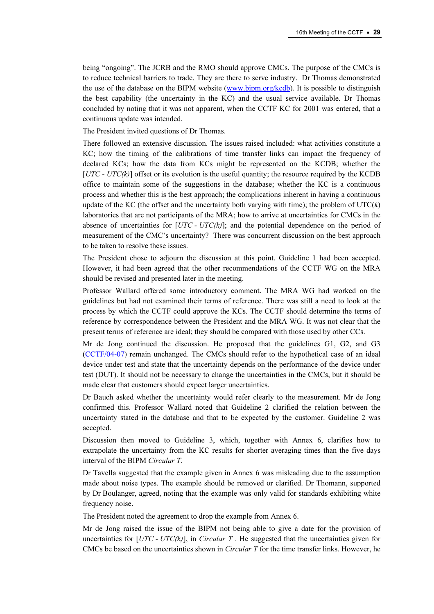being "ongoing". The JCRB and the RMO should approve CMCs. The purpose of the CMCs is to reduce technical barriers to trade. They are there to serve industry. Dr Thomas demonstrated the use of the database on the BIPM websit[e \(www.bipm.org/kcdb\). It](http://kcdb.bipm.org/default_fr.asp) is possible to distinguish the best capability (the uncertainty in the KC) and the usual service available. Dr Thomas concluded by noting that it was not apparent, when the CCTF KC for 2001 was entered, that a continuous update was intended.

The President invited questions of Dr Thomas.

There followed an extensive discussion. The issues raised included: what activities constitute a KC; how the timing of the calibrations of time transfer links can impact the frequency of declared KCs; how the data from KCs might be represented on the KCDB; whether the  $[UTC - UTC(k)]$  offset or its evolution is the useful quantity; the resource required by the KCDB office to maintain some of the suggestions in the database; whether the KC is a continuous process and whether this is the best approach; the complications inherent in having a continuous update of the KC (the offset and the uncertainty both varying with time); the problem of  $UTC(k)$ laboratories that are not participants of the MRA; how to arrive at uncertainties for CMCs in the absence of uncertainties for  $[UTC - UTC/k)]$ ; and the potential dependence on the period of measurement of the CMC's uncertainty? There was concurrent discussion on the best approach to be taken to resolve these issues.

The President chose to adjourn the discussion at this point. Guideline 1 had been accepted. However, it had been agreed that the other recommendations of the CCTF WG on the MRA should be revised and presented later in the meeting.

Professor Wallard offered some introductory comment. The MRA WG had worked on the guidelines but had not examined their terms of reference. There was still a need to look at the process by which the CCTF could approve the KCs. The CCTF should determine the terms of reference by correspondence between the President and the MRA WG. It was not clear that the present terms of reference are ideal; they should be compared with those used by other CCs.

Mr de Jong continued the discussion. He proposed that the guidelines G1, G2, and G3 [\(CCTF/04-07\) remain unc](https://www.bipm.org/cc/CCTF/Allowed/16/cctf04-07.pdf)hanged. The CMCs should refer to the hypothetical case of an ideal device under test and state that the uncertainty depends on the performance of the device under test (DUT). It should not be necessary to change the uncertainties in the CMCs, but it should be made clear that customers should expect larger uncertainties.

Dr Bauch asked whether the uncertainty would refer clearly to the measurement. Mr de Jong confirmed this. Professor Wallard noted that Guideline 2 clarified the relation between the uncertainty stated in the database and that to be expected by the customer. Guideline 2 was accepted.

Discussion then moved to Guideline 3, which, together with Annex 6, clarifies how to extrapolate the uncertainty from the KC results for shorter averaging times than the five days interval of the BIPM Circular T.

Dr Tavella suggested that the example given in Annex 6 was misleading due to the assumption made about noise types. The example should be removed or clarified. Dr Thomann, supported by Dr Boulanger, agreed, noting that the example was only valid for standards exhibiting white frequency noise.

The President noted the agreement to drop the example from Annex 6.

Mr de Jong raised the issue of the BIPM not being able to give a date for the provision of uncertainties for  $[UTC - UTC/k)]$ , in *Circular T*. He suggested that the uncertainties given for CMCs be based on the uncertainties shown in *Circular T* for the time transfer links. However, he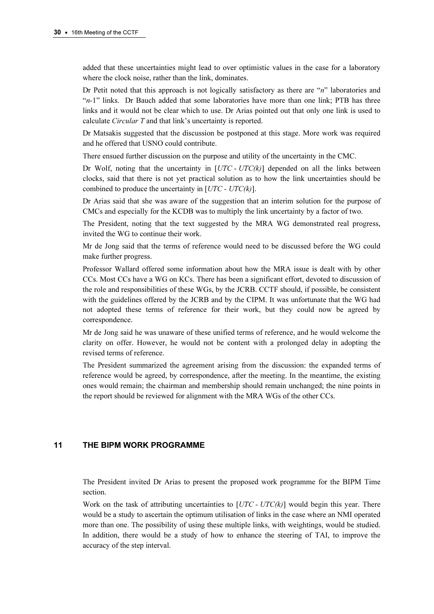added that these uncertainties might lead to over optimistic values in the case for a laboratory where the clock noise, rather than the link, dominates.

Dr Petit noted that this approach is not logically satisfactory as there are "n" laboratories and " $n-1$ " links. Dr Bauch added that some laboratories have more than one link; PTB has three links and it would not be clear which to use. Dr Arias pointed out that only one link is used to calculate Circular T and that link's uncertainty is reported.

Dr Matsakis suggested that the discussion be postponed at this stage. More work was required and he offered that USNO could contribute.

There ensued further discussion on the purpose and utility of the uncertainty in the CMC.

Dr Wolf, noting that the uncertainty in  $[UTC - UTC/k)]$  depended on all the links between clocks, said that there is not yet practical solution as to how the link uncertainties should be combined to produce the uncertainty in  $[UTC - UTC(k)]$ .

Dr Arias said that she was aware of the suggestion that an interim solution for the purpose of CMCs and especially for the KCDB was to multiply the link uncertainty by a factor of two.

The President, noting that the text suggested by the MRA WG demonstrated real progress, invited the WG to continue their work.

Mr de Jong said that the terms of reference would need to be discussed before the WG could make further progress.

Professor Wallard offered some information about how the MRA issue is dealt with by other CCs. Most CCs have a WG on KCs. There has been a significant effort, devoted to discussion of the role and responsibilities of these WGs, by the JCRB. CCTF should, if possible, be consistent with the guidelines offered by the JCRB and by the CIPM. It was unfortunate that the WG had not adopted these terms of reference for their work, but they could now be agreed by correspondence.

Mr de Jong said he was unaware of these unified terms of reference, and he would welcome the clarity on offer. However, he would not be content with a prolonged delay in adopting the revised terms of reference.

The President summarized the agreement arising from the discussion: the expanded terms of reference would be agreed, by correspondence, after the meeting. In the meantime, the existing ones would remain; the chairman and membership should remain unchanged; the nine points in the report should be reviewed for alignment with the MRA WGs of the other CCs.

### 11 THE BIPM WORK PROGRAMME

The President invited Dr Arias to present the proposed work programme for the BIPM Time section.

Work on the task of attributing uncertainties to  $[UTC - UTC/k)]$  would begin this year. There would be a study to ascertain the optimum utilisation of links in the case where an NMI operated more than one. The possibility of using these multiple links, with weightings, would be studied. In addition, there would be a study of how to enhance the steering of TAI, to improve the accuracy of the step interval.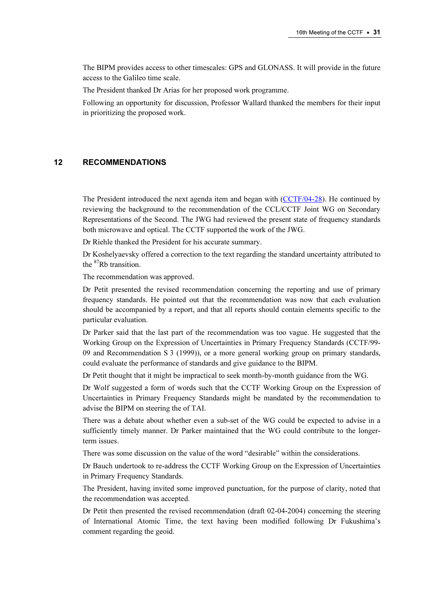The BIPM provides access to other timescales: GPS and GLONASS. It will provide in the future access to the Galileo time scale.

The President thanked Dr Arias for her proposed work programme.

Following an opportunity for discussion, Professor Wallard thanked the members for their input in prioritizing the proposed work.

### 12 RECOMMENDATIONS

The President introduced the next agenda item and began [with \(CCTF/04-28\). He continu](https://www.bipm.org/cc/CCTF/Allowed/16/cctf04-28.pdf)ed by reviewing the background to the recommendation of the CCL/CCTF Joint WG on Secondary Representations of the Second. The JWG had reviewed the present state of frequency standards both microwave and optical. The CCTF supported the work of the JWG.

Dr Riehle thanked the President for his accurate summary.

Dr Koshelyaevsky offered a correction to the text regarding the standard uncertainty attributed to the <sup>87</sup>Rb transition.

The recommendation was approved.

Dr Petit presented the revised recommendation concerning the reporting and use of primary frequency standards. He pointed out that the recommendation was now that each evaluation should be accompanied by a report, and that all reports should contain elements specific to the particular evaluation.

Dr Parker said that the last part of the recommendation was too vague. He suggested that the Working Group on the Expression of Uncertainties in Primary Frequency Standards (CCTF/99- 09 and Recommendation S 3 (1999)), or a more general working group on primary standards, could evaluate the performance of standards and give guidance to the BIPM.

Dr Petit thought that it might be impractical to seek month-by-month guidance from the WG.

Dr Wolf suggested a form of words such that the CCTF Working Group on the Expression of Uncertainties in Primary Frequency Standards might be mandated by the recommendation to advise the BIPM on steering the of TAI.

There was a debate about whether even a sub-set of the WG could be expected to advise in a sufficiently timely manner. Dr Parker maintained that the WG could contribute to the longerterm issues.

There was some discussion on the value of the word "desirable" within the considerations.

Dr Bauch undertook to re-address the CCTF Working Group on the Expression of Uncertainties in Primary Frequency Standards.

The President, having invited some improved punctuation, for the purpose of clarity, noted that the recommendation was accepted.

Dr Petit then presented the revised recommendation (draft 02-04-2004) concerning the steering of International Atomic Time, the text having been modified following Dr Fukushima's comment regarding the geoid.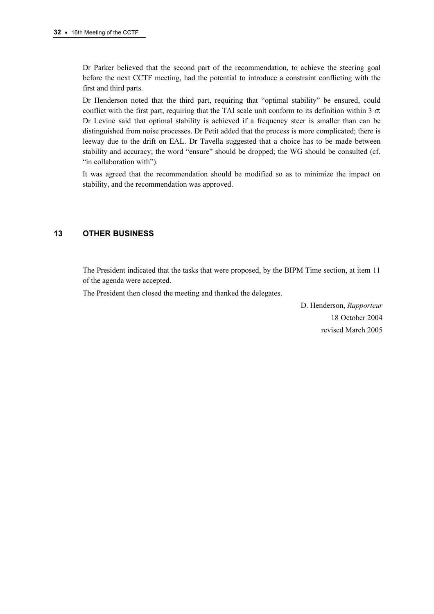Dr Parker believed that the second part of the recommendation, to achieve the steering goal before the next CCTF meeting, had the potential to introduce a constraint conflicting with the first and third parts.

Dr Henderson noted that the third part, requiring that "optimal stability" be ensured, could conflict with the first part, requiring that the TAI scale unit conform to its definition within 3  $\sigma$ . Dr Levine said that optimal stability is achieved if a frequency steer is smaller than can be distinguished from noise processes. Dr Petit added that the process is more complicated; there is leeway due to the drift on EAL. Dr Tavella suggested that a choice has to be made between stability and accuracy; the word "ensure" should be dropped; the WG should be consulted (cf. "in collaboration with").

It was agreed that the recommendation should be modified so as to minimize the impact on stability, and the recommendation was approved.

# 13 OTHER BUSINESS

The President indicated that the tasks that were proposed, by the BIPM Time section, at item 11 of the agenda were accepted.

The President then closed the meeting and thanked the delegates.

 D. Henderson, Rapporteur 18 October 2004 revised March 2005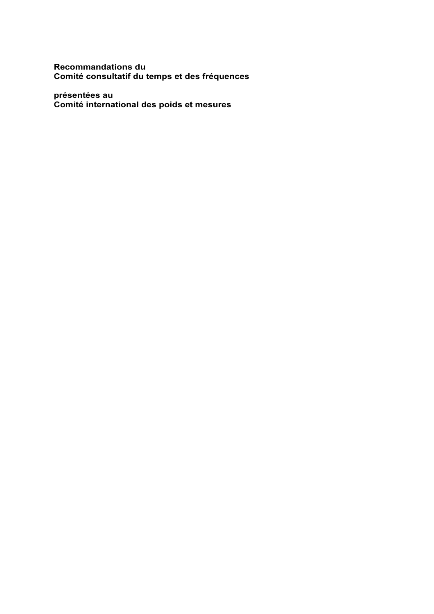# Recommandations du Comité consultatif du temps et des fréquences

# présentées au Comité international des poids et mesures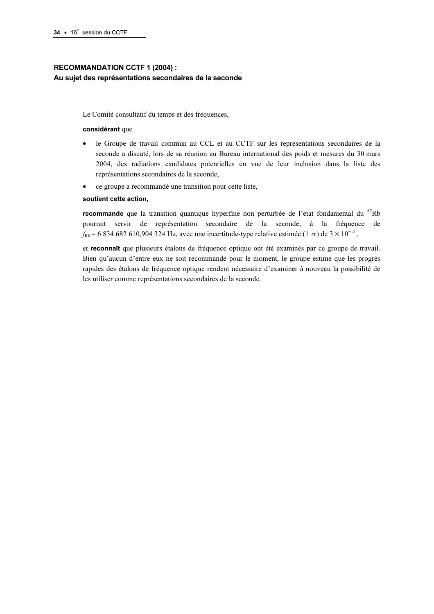# RECOMMANDATION CCTF 1 (2004) : Au sujet des représentations secondaires de la seconde

Le Comité consultatif du temps et des fréquences,

#### considérant que

- le Groupe de travail commun au CCL et au CCTF sur les représentations secondaires de la seconde a discuté, lors de sa réunion au Bureau international des poids et mesures du 30 mars 2004, des radiations candidates potentielles en vue de leur inclusion dans la liste des représentations secondaires de la seconde,
- ce groupe a recommandé une transition pour cette liste,

#### soutient cette action,

**recommande** que la transition quantique hyperfine non perturbée de l'état fondamental du  ${}^{87}$ Rb pourrait servir de représentation secondaire de la seconde, à la fréquence de  $f_{\text{Rb}}$  = 6 834 682 610,904 324 Hz, avec une incertitude-type relative estimée (1  $\sigma$ ) de 3 × 10<sup>-15</sup>,

et reconnaît que plusieurs étalons de fréquence optique ont été examinés par ce groupe de travail. Bien qu'aucun d'entre eux ne soit recommandé pour le moment, le groupe estime que les progrès rapides des étalons de fréquence optique rendent nécessaire d'examiner à nouveau la possibilité de les utiliser comme représentations secondaires de la seconde.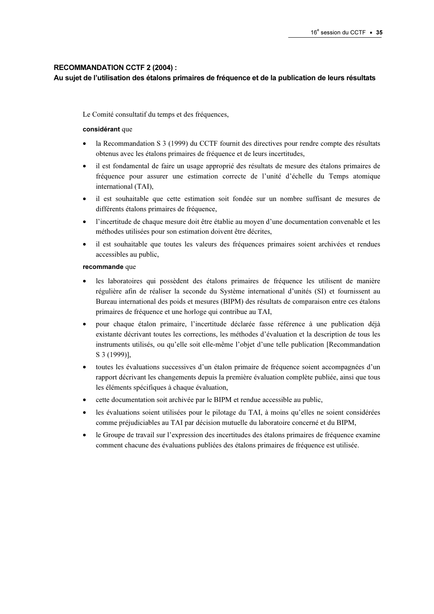### RECOMMANDATION CCTF 2 (2004) :

### Au sujet de l'utilisation des étalons primaires de fréquence et de la publication de leurs résultats

Le Comité consultatif du temps et des fréquences,

#### considérant que

- la Recommandation S 3 (1999) du CCTF fournit des directives pour rendre compte des résultats obtenus avec les étalons primaires de fréquence et de leurs incertitudes,
- il est fondamental de faire un usage approprié des résultats de mesure des étalons primaires de fréquence pour assurer une estimation correcte de l'unité d'échelle du Temps atomique international (TAI),
- il est souhaitable que cette estimation soit fondée sur un nombre suffisant de mesures de différents étalons primaires de fréquence,
- l'incertitude de chaque mesure doit être établie au moyen d'une documentation convenable et les méthodes utilisées pour son estimation doivent être décrites,
- il est souhaitable que toutes les valeurs des fréquences primaires soient archivées et rendues accessibles au public,

#### recommande que

- les laboratoires qui possèdent des étalons primaires de fréquence les utilisent de manière régulière afin de réaliser la seconde du Système international d'unités (SI) et fournissent au Bureau international des poids et mesures (BIPM) des résultats de comparaison entre ces étalons primaires de fréquence et une horloge qui contribue au TAI,
- pour chaque étalon primaire, l'incertitude déclarée fasse référence à une publication déjà existante décrivant toutes les corrections, les méthodes d'évaluation et la description de tous les instruments utilisés, ou qu'elle soit elle-même l'objet d'une telle publication [Recommandation S 3 (1999)],
- toutes les évaluations successives d'un étalon primaire de fréquence soient accompagnées d'un rapport décrivant les changements depuis la première évaluation complète publiée, ainsi que tous les éléments spécifiques à chaque évaluation,
- cette documentation soit archivée par le BIPM et rendue accessible au public,
- les évaluations soient utilisées pour le pilotage du TAI, à moins qu'elles ne soient considérées comme préjudiciables au TAI par décision mutuelle du laboratoire concerné et du BIPM,
- le Groupe de travail sur l'expression des incertitudes des étalons primaires de fréquence examine comment chacune des évaluations publiées des étalons primaires de fréquence est utilisée.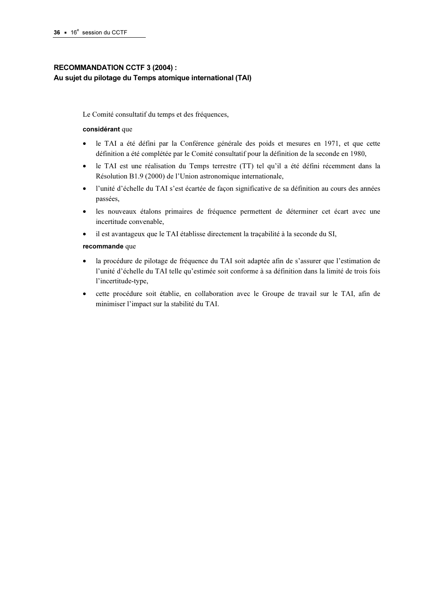# RECOMMANDATION CCTF 3 (2004) : Au sujet du pilotage du Temps atomique international (TAI)

Le Comité consultatif du temps et des fréquences,

### considérant que

- le TAI a été défini par la Conférence générale des poids et mesures en 1971, et que cette définition a été complétée par le Comité consultatif pour la définition de la seconde en 1980,
- le TAI est une réalisation du Temps terrestre (TT) tel qu'il a été défini récemment dans la Résolution B1.9 (2000) de l'Union astronomique internationale,
- l'unité d'échelle du TAI s'est écartée de façon significative de sa définition au cours des années passées,
- les nouveaux étalons primaires de fréquence permettent de déterminer cet écart avec une incertitude convenable,
- il est avantageux que le TAI établisse directement la traçabilité à la seconde du SI,

### recommande que

- la procédure de pilotage de fréquence du TAI soit adaptée afin de s'assurer que l'estimation de l'unité d'échelle du TAI telle qu'estimée soit conforme à sa définition dans la limité de trois fois l'incertitude-type,
- cette procédure soit établie, en collaboration avec le Groupe de travail sur le TAI, afin de minimiser l'impact sur la stabilité du TAI.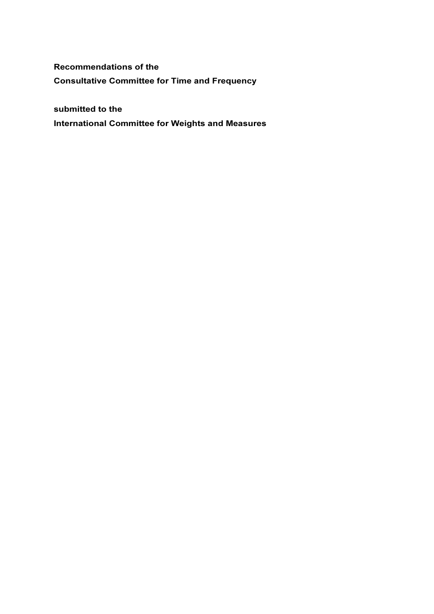Recommendations of the Consultative Committee for Time and Frequency

submitted to the

International Committee for Weights and Measures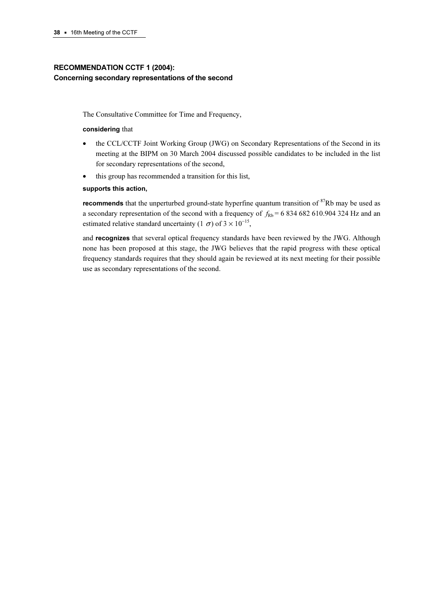# RECOMMENDATION CCTF 1 (2004): Concerning secondary representations of the second

The Consultative Committee for Time and Frequency,

#### considering that

- the CCL/CCTF Joint Working Group (JWG) on Secondary Representations of the Second in its meeting at the BIPM on 30 March 2004 discussed possible candidates to be included in the list for secondary representations of the second,
- this group has recommended a transition for this list,

### supports this action,

**recommends** that the unperturbed ground-state hyperfine quantum transition of  ${}^{87}$ Rb may be used as a secondary representation of the second with a frequency of  $f_{\text{Rb}} = 6834682610.904324$  Hz and an estimated relative standard uncertainty (1  $\sigma$ ) of 3 × 10<sup>-15</sup>,

and recognizes that several optical frequency standards have been reviewed by the JWG. Although none has been proposed at this stage, the JWG believes that the rapid progress with these optical frequency standards requires that they should again be reviewed at its next meeting for their possible use as secondary representations of the second.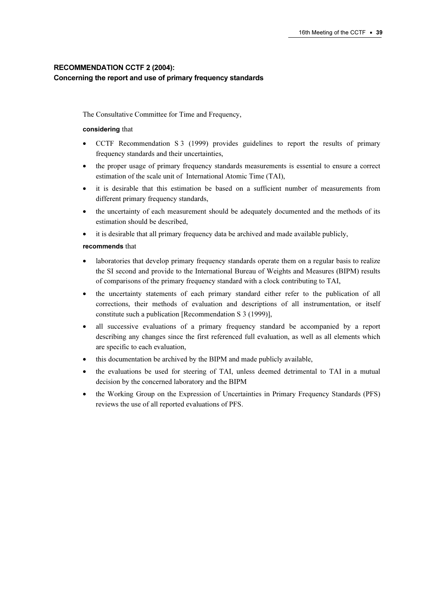# RECOMMENDATION CCTF 2 (2004): Concerning the report and use of primary frequency standards

The Consultative Committee for Time and Frequency,

### considering that

- CCTF Recommendation S 3 (1999) provides guidelines to report the results of primary frequency standards and their uncertainties,
- the proper usage of primary frequency standards measurements is essential to ensure a correct estimation of the scale unit of International Atomic Time (TAI),
- it is desirable that this estimation be based on a sufficient number of measurements from different primary frequency standards,
- the uncertainty of each measurement should be adequately documented and the methods of its estimation should be described,
- it is desirable that all primary frequency data be archived and made available publicly,

### recommends that

- laboratories that develop primary frequency standards operate them on a regular basis to realize the SI second and provide to the International Bureau of Weights and Measures (BIPM) results of comparisons of the primary frequency standard with a clock contributing to TAI,
- the uncertainty statements of each primary standard either refer to the publication of all corrections, their methods of evaluation and descriptions of all instrumentation, or itself constitute such a publication [Recommendation S 3 (1999)],
- all successive evaluations of a primary frequency standard be accompanied by a report describing any changes since the first referenced full evaluation, as well as all elements which are specific to each evaluation,
- this documentation be archived by the BIPM and made publicly available,
- the evaluations be used for steering of TAI, unless deemed detrimental to TAI in a mutual decision by the concerned laboratory and the BIPM
- the Working Group on the Expression of Uncertainties in Primary Frequency Standards (PFS) reviews the use of all reported evaluations of PFS.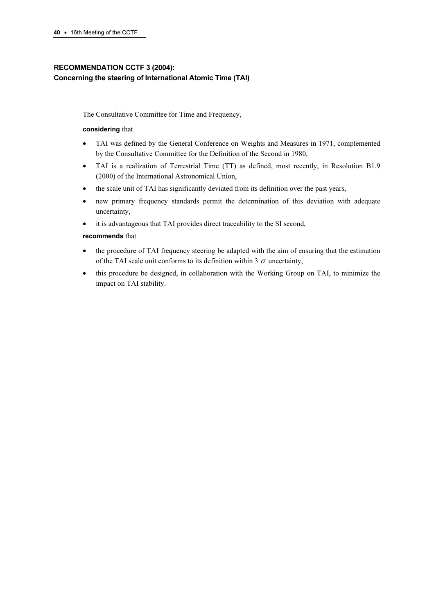# RECOMMENDATION CCTF 3 (2004): Concerning the steering of International Atomic Time (TAI)

The Consultative Committee for Time and Frequency,

### considering that

- TAI was defined by the General Conference on Weights and Measures in 1971, complemented by the Consultative Committee for the Definition of the Second in 1980,
- TAI is a realization of Terrestrial Time (TT) as defined, most recently, in Resolution B1.9 (2000) of the International Astronomical Union,
- the scale unit of TAI has significantly deviated from its definition over the past years,
- new primary frequency standards permit the determination of this deviation with adequate uncertainty,
- it is advantageous that TAI provides direct traceability to the SI second,

### recommends that

- the procedure of TAI frequency steering be adapted with the aim of ensuring that the estimation of the TAI scale unit conforms to its definition within 3  $\sigma$  uncertainty,
- this procedure be designed, in collaboration with the Working Group on TAI, to minimize the impact on TAI stability.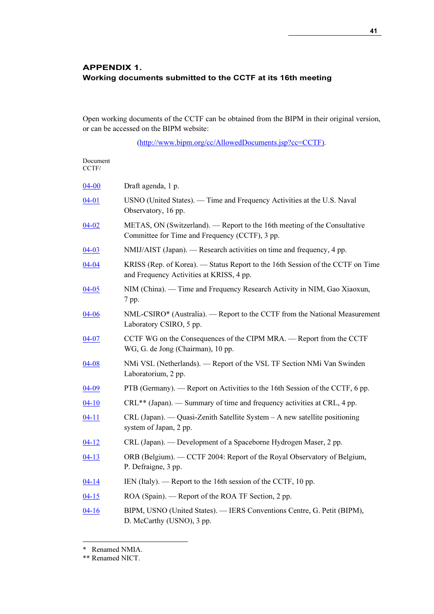# APPENDIX 1. Working documents submitted to the CCTF at its 16th meeting

Open working documents of the CCTF can be obtained from the BIPM in their original version, or can be accessed on the BIPM website:

[\(http://www.bipm.org/cc/AllowedDocuments.jsp?cc=CCTF\)](https://www.bipm.org/cc/AllowedDocuments.jsp?cc=CCTF).

| Document<br>CCTF/ |                                                                                                                             |
|-------------------|-----------------------------------------------------------------------------------------------------------------------------|
| $04 - 00$         | Draft agenda, 1 p.                                                                                                          |
| $04 - 01$         | USNO (United States). — Time and Frequency Activities at the U.S. Naval<br>Observatory, 16 pp.                              |
| $04 - 02$         | METAS, ON (Switzerland). — Report to the 16th meeting of the Consultative<br>Committee for Time and Frequency (CCTF), 3 pp. |
| $04-03$           | NMIJ/AIST (Japan). — Research activities on time and frequency, 4 pp.                                                       |
| $04 - 04$         | KRISS (Rep. of Korea). — Status Report to the 16th Session of the CCTF on Time<br>and Frequency Activities at KRISS, 4 pp.  |
| $04 - 05$         | NIM (China). — Time and Frequency Research Activity in NIM, Gao Xiaoxun,<br>7 pp.                                           |
| $04 - 06$         | NML-CSIRO* (Australia). — Report to the CCTF from the National Measurement<br>Laboratory CSIRO, 5 pp.                       |
| $04 - 07$         | CCTF WG on the Consequences of the CIPM MRA. — Report from the CCTF<br>WG, G. de Jong (Chairman), 10 pp.                    |
| $04 - 08$         | NMi VSL (Netherlands). — Report of the VSL TF Section NMi Van Swinden<br>Laboratorium, 2 pp.                                |
| $04 - 09$         | PTB (Germany). — Report on Activities to the 16th Session of the CCTF, 6 pp.                                                |
| $04 - 10$         | CRL <sup>**</sup> (Japan). — Summary of time and frequency activities at CRL, 4 pp.                                         |
| $04 - 11$         | CRL (Japan). — Quasi-Zenith Satellite System - A new satellite positioning<br>system of Japan, 2 pp.                        |
| $04 - 12$         | CRL (Japan). — Development of a Spaceborne Hydrogen Maser, 2 pp.                                                            |
| $04-13$           | ORB (Belgium). — CCTF 2004: Report of the Royal Observatory of Belgium,<br>P. Defraigne, 3 pp.                              |
| $04 - 14$         | IEN (Italy). — Report to the 16th session of the CCTF, 10 pp.                                                               |
| $04 - 15$         | ROA (Spain). — Report of the ROA TF Section, 2 pp.                                                                          |
| $04 - 16$         | BIPM, USNO (United States). - IERS Conventions Centre, G. Petit (BIPM),<br>D. McCarthy (USNO), 3 pp.                        |

l

<sup>\*</sup> Renamed NMIA.

<sup>\*\*</sup> Renamed NICT.